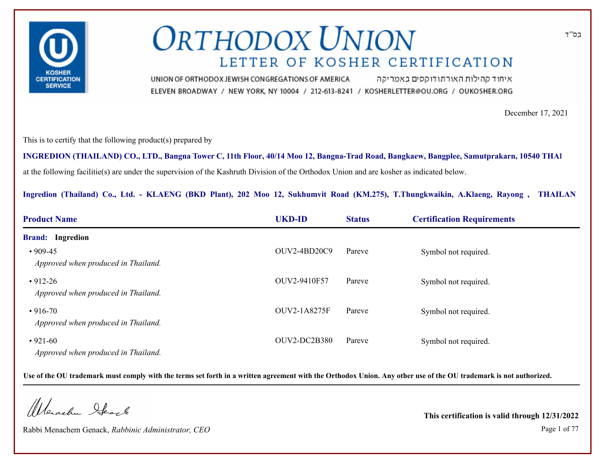

איחוד קהילות האורתודוקסים באמריקה UNION OF ORTHODOX JEWISH CONGREGATIONS OF AMERICA ELEVEN BROADWAY / NEW YORK, NY 10004 / 212-613-8241 / KOSHERLETTER@OU.ORG / OUKOSHER.ORG

December 17, 2021

This is to certify that the following product(s) prepared by

at the following facilitie(s) are under the supervision of the Kashruth Division of the Orthodox Union and are kosher as indicated below. **INGREDION (THAILAND) CO., LTD., Bangna Tower C, 11th Floor, 40/14 Moo 12, Bangna-Trad Road, Bangkaew, Bangplee, Samutprakarn, 10540 THAILAND**

**Ingredion (Thailand) Co., Ltd. - KLAENG (BKD Plant), 202 Moo 12, Sukhumvit Road (KM.275), T.Thungkwaikin, A.Klaeng, Rayong , THAILAN**

| <b>Product Name</b>                                   | <b>UKD-ID</b>  | <b>Status</b> | <b>Certification Requirements</b> |  |
|-------------------------------------------------------|----------------|---------------|-----------------------------------|--|
| <b>Brand:</b> Ingredion                               |                |               |                                   |  |
| $\cdot$ 909-45<br>Approved when produced in Thailand. | OUV2-4BD20C9   | Pareve        | Symbol not required.              |  |
| $\cdot$ 912-26<br>Approved when produced in Thailand. | OUV2-9410F57   | Pareve        | Symbol not required.              |  |
| $\cdot$ 916-70<br>Approved when produced in Thailand. | OUV2-1A8275F   | Pareve        | Symbol not required.              |  |
| $• 921-60$<br>Approved when produced in Thailand.     | $OUV2-DC2B380$ | Pareve        | Symbol not required.              |  |

**Use of the OU trademark must comply with the terms set forth in a written agreement with the Orthodox Union. Any other use of the OU trademark is not authorized.**

Wenachu Ifeach

Rabbi Menachem Genack, *Rabbinic Administrator, CEO* Page 1 of 77

**This certification is valid through 12/31/2022**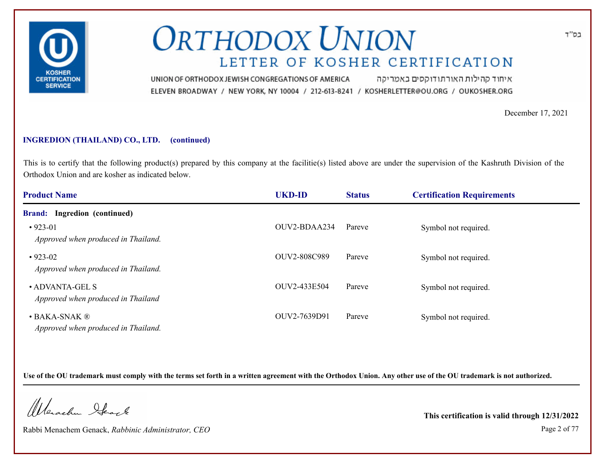

איחוד קהילות האורתודוקסים באמריקה UNION OF ORTHODOX JEWISH CONGREGATIONS OF AMERICA ELEVEN BROADWAY / NEW YORK, NY 10004 / 212-613-8241 / KOSHERLETTER@OU.ORG / OUKOSHER.ORG

December 17, 2021

#### **INGREDION (THAILAND) CO., LTD. (continued)**

This is to certify that the following product(s) prepared by this company at the facilitie(s) listed above are under the supervision of the Kashruth Division of the Orthodox Union and are kosher as indicated below.

| <b>Product Name</b>                                                    | <b>UKD-ID</b> | <b>Status</b> | <b>Certification Requirements</b> |  |
|------------------------------------------------------------------------|---------------|---------------|-----------------------------------|--|
| Ingredion (continued)<br><b>Brand:</b>                                 |               |               |                                   |  |
| $•923-01$<br>Approved when produced in Thailand.                       | OUV2-BDAA234  | Pareve        | Symbol not required.              |  |
| $\cdot$ 923-02<br>Approved when produced in Thailand.                  | OUV2-808C989  | Pareve        | Symbol not required.              |  |
| • ADVANTA-GEL S<br>Approved when produced in Thailand                  | OUV2-433E504  | Pareve        | Symbol not required.              |  |
| $\bullet$ BAKA-SNAK $\circledR$<br>Approved when produced in Thailand. | OUV2-7639D91  | Pareve        | Symbol not required.              |  |

**Use of the OU trademark must comply with the terms set forth in a written agreement with the Orthodox Union. Any other use of the OU trademark is not authorized.**

Werschn Stack

Rabbi Menachem Genack, *Rabbinic Administrator, CEO* Page 2 of 77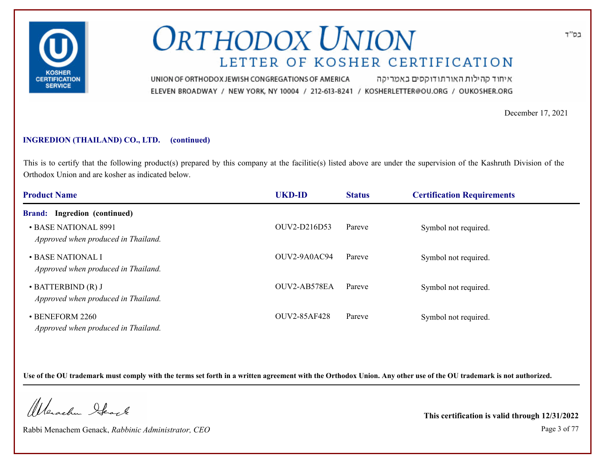

איחוד קהילות האורתודוקסים באמריקה UNION OF ORTHODOX JEWISH CONGREGATIONS OF AMERICA ELEVEN BROADWAY / NEW YORK, NY 10004 / 212-613-8241 / KOSHERLETTER@OU.ORG / OUKOSHER.ORG

December 17, 2021

#### **INGREDION (THAILAND) CO., LTD. (continued)**

This is to certify that the following product(s) prepared by this company at the facilitie(s) listed above are under the supervision of the Kashruth Division of the Orthodox Union and are kosher as indicated below.

| <b>Product Name</b>                                             | <b>UKD-ID</b>  | <b>Status</b> | <b>Certification Requirements</b> |  |
|-----------------------------------------------------------------|----------------|---------------|-----------------------------------|--|
| <b>Brand:</b> Ingredion (continued)                             |                |               |                                   |  |
| • BASE NATIONAL 8991<br>Approved when produced in Thailand.     | OUV2-D216D53   | Pareve        | Symbol not required.              |  |
| • BASE NATIONAL I<br>Approved when produced in Thailand.        | $OUV2-9A0AC94$ | Pareve        | Symbol not required.              |  |
| $\cdot$ BATTERBIND (R) J<br>Approved when produced in Thailand. | OUV2-AB578EA   | Pareve        | Symbol not required.              |  |
| • BENEFORM 2260<br>Approved when produced in Thailand.          | OUV2-85AF428   | Pareve        | Symbol not required.              |  |

**Use of the OU trademark must comply with the terms set forth in a written agreement with the Orthodox Union. Any other use of the OU trademark is not authorized.**

Werschn Stack

Rabbi Menachem Genack, *Rabbinic Administrator, CEO* Page 3 of 77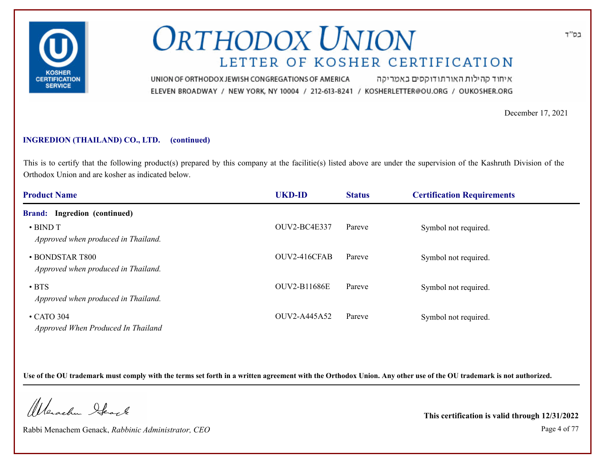

איחוד קהילות האורתודוקסים באמריקה UNION OF ORTHODOX JEWISH CONGREGATIONS OF AMERICA ELEVEN BROADWAY / NEW YORK, NY 10004 / 212-613-8241 / KOSHERLETTER@OU.ORG / OUKOSHER.ORG

December 17, 2021

#### **INGREDION (THAILAND) CO., LTD. (continued)**

This is to certify that the following product(s) prepared by this company at the facilitie(s) listed above are under the supervision of the Kashruth Division of the Orthodox Union and are kosher as indicated below.

| <b>Product Name</b>                                    | <b>UKD-ID</b>       | <b>Status</b> | <b>Certification Requirements</b> |  |
|--------------------------------------------------------|---------------------|---------------|-----------------------------------|--|
| <b>Brand:</b> Ingredion (continued)                    |                     |               |                                   |  |
| $\cdot$ BIND T<br>Approved when produced in Thailand.  | OUV2-BC4E337        | Pareve        | Symbol not required.              |  |
| • BONDSTAR T800<br>Approved when produced in Thailand. | OUV2-416CFAB        | Pareve        | Symbol not required.              |  |
| $\cdot$ BTS<br>Approved when produced in Thailand.     | <b>OUV2-B11686E</b> | Pareve        | Symbol not required.              |  |
| $\cdot$ CATO 304<br>Approved When Produced In Thailand | OUV2-A445A52        | Pareve        | Symbol not required.              |  |

**Use of the OU trademark must comply with the terms set forth in a written agreement with the Orthodox Union. Any other use of the OU trademark is not authorized.**

Werschn Stack

Rabbi Menachem Genack, *Rabbinic Administrator, CEO* Page 4 of 77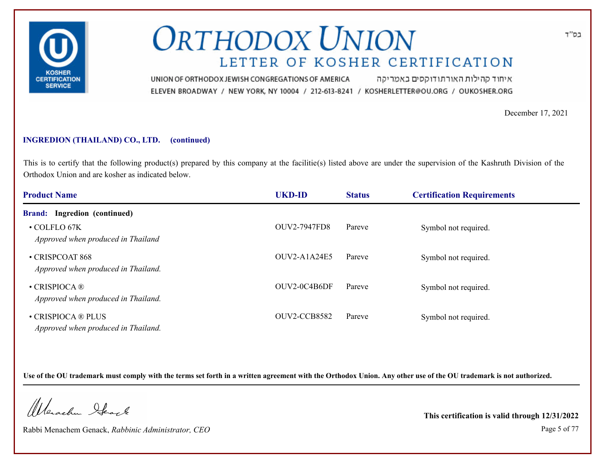

איחוד קהילות האורתודוקסים באמריקה UNION OF ORTHODOX JEWISH CONGREGATIONS OF AMERICA ELEVEN BROADWAY / NEW YORK, NY 10004 / 212-613-8241 / KOSHERLETTER@OU.ORG / OUKOSHER.ORG

December 17, 2021

#### **INGREDION (THAILAND) CO., LTD. (continued)**

This is to certify that the following product(s) prepared by this company at the facilitie(s) listed above are under the supervision of the Kashruth Division of the Orthodox Union and are kosher as indicated below.

| <b>Product Name</b>                                        | <b>UKD-ID</b>       | <b>Status</b> | <b>Certification Requirements</b> |  |
|------------------------------------------------------------|---------------------|---------------|-----------------------------------|--|
| <b>Brand:</b> Ingredion (continued)                        |                     |               |                                   |  |
| $\cdot$ COLFLO 67K<br>Approved when produced in Thailand   | <b>OUV2-7947FD8</b> | Pareve        | Symbol not required.              |  |
| • CRISPCOAT 868<br>Approved when produced in Thailand.     | $OUV2-A1A24E5$      | Pareve        | Symbol not required.              |  |
| $\cdot$ CRISPIOCA ®<br>Approved when produced in Thailand. | OUV2-0C4B6DF        | Pareve        | Symbol not required.              |  |
| • CRISPIOCA ® PLUS<br>Approved when produced in Thailand.  | OUV2-CCB8582        | Pareve        | Symbol not required.              |  |

**Use of the OU trademark must comply with the terms set forth in a written agreement with the Orthodox Union. Any other use of the OU trademark is not authorized.**

Werschn Stack

Rabbi Menachem Genack, *Rabbinic Administrator, CEO* Page 5 of 77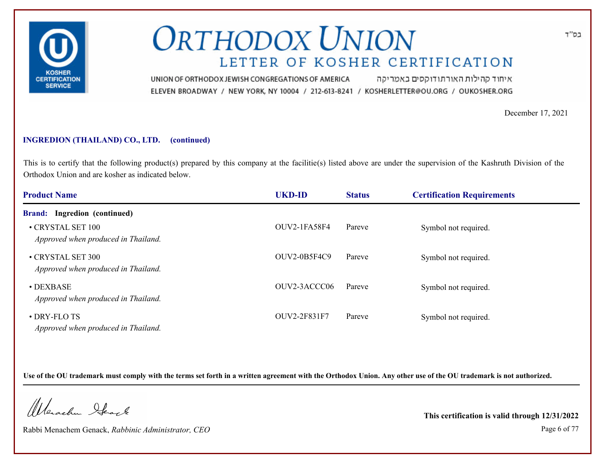

איחוד קהילות האורתודוקסים באמריקה UNION OF ORTHODOX JEWISH CONGREGATIONS OF AMERICA ELEVEN BROADWAY / NEW YORK, NY 10004 / 212-613-8241 / KOSHERLETTER@OU.ORG / OUKOSHER.ORG

December 17, 2021

#### **INGREDION (THAILAND) CO., LTD. (continued)**

This is to certify that the following product(s) prepared by this company at the facilitie(s) listed above are under the supervision of the Kashruth Division of the Orthodox Union and are kosher as indicated below.

| <b>Product Name</b>                                      | <b>UKD-ID</b> | <b>Status</b> | <b>Certification Requirements</b> |  |
|----------------------------------------------------------|---------------|---------------|-----------------------------------|--|
| <b>Brand:</b> Ingredion (continued)                      |               |               |                                   |  |
| • CRYSTAL SET 100<br>Approved when produced in Thailand. | OUV2-1FA58F4  | Pareve        | Symbol not required.              |  |
| • CRYSTAL SET 300<br>Approved when produced in Thailand. | OUV2-0B5F4C9  | Pareve        | Symbol not required.              |  |
| $\bullet$ DEXBASE<br>Approved when produced in Thailand. | OUV2-3ACCC06  | Pareve        | Symbol not required.              |  |
| • DRY-FLO TS<br>Approved when produced in Thailand.      | OUV2-2F831F7  | Pareve        | Symbol not required.              |  |

**Use of the OU trademark must comply with the terms set forth in a written agreement with the Orthodox Union. Any other use of the OU trademark is not authorized.**

Werschn Stack

Rabbi Menachem Genack, *Rabbinic Administrator, CEO* Page 6 of 77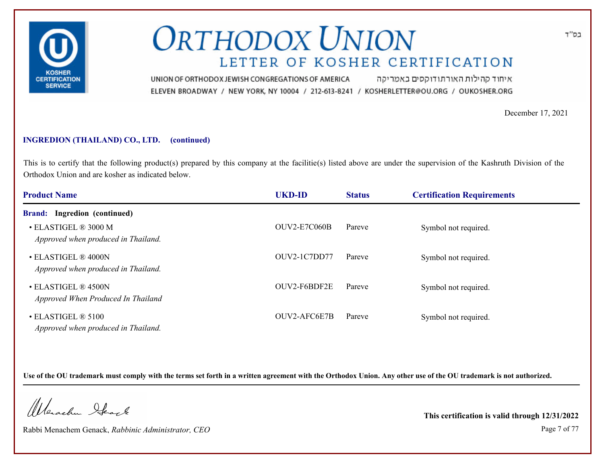

איחוד קהילות האורתודוקסים באמריקה UNION OF ORTHODOX JEWISH CONGREGATIONS OF AMERICA ELEVEN BROADWAY / NEW YORK, NY 10004 / 212-613-8241 / KOSHERLETTER@OU.ORG / OUKOSHER.ORG

December 17, 2021

#### **INGREDION (THAILAND) CO., LTD. (continued)**

This is to certify that the following product(s) prepared by this company at the facilitie(s) listed above are under the supervision of the Kashruth Division of the Orthodox Union and are kosher as indicated below.

| <b>Product Name</b>                                         | <b>UKD-ID</b>       | <b>Status</b> | <b>Certification Requirements</b> |  |
|-------------------------------------------------------------|---------------------|---------------|-----------------------------------|--|
| <b>Brand:</b> Ingredion (continued)                         |                     |               |                                   |  |
| • ELASTIGEL ® 3000 M<br>Approved when produced in Thailand. | <b>OUV2-E7C060B</b> | Pareve        | Symbol not required.              |  |
| • ELASTIGEL ® 4000N<br>Approved when produced in Thailand.  | OUV2-1C7DD77        | Pareve        | Symbol not required.              |  |
| • ELASTIGEL ® 4500N<br>Approved When Produced In Thailand   | OUV2-F6BDF2E        | Pareve        | Symbol not required.              |  |
| • ELASTIGEL ® 5100<br>Approved when produced in Thailand.   | OUV2-AFC6E7B        | Pareve        | Symbol not required.              |  |

**Use of the OU trademark must comply with the terms set forth in a written agreement with the Orthodox Union. Any other use of the OU trademark is not authorized.**

Werschn Stack

Rabbi Menachem Genack, *Rabbinic Administrator, CEO* Page 7 of 77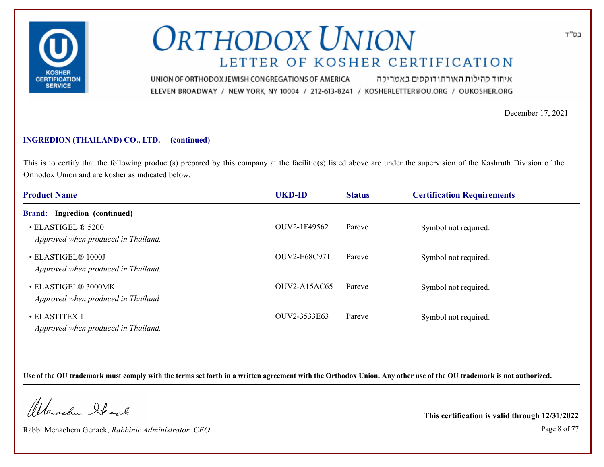

איחוד קהילות האורתודוקסים באמריקה UNION OF ORTHODOX JEWISH CONGREGATIONS OF AMERICA ELEVEN BROADWAY / NEW YORK, NY 10004 / 212-613-8241 / KOSHERLETTER@OU.ORG / OUKOSHER.ORG

December 17, 2021

#### **INGREDION (THAILAND) CO., LTD. (continued)**

This is to certify that the following product(s) prepared by this company at the facilitie(s) listed above are under the supervision of the Kashruth Division of the Orthodox Union and are kosher as indicated below.

| <b>Product Name</b>                                       | <b>UKD-ID</b>  | <b>Status</b> | <b>Certification Requirements</b> |  |
|-----------------------------------------------------------|----------------|---------------|-----------------------------------|--|
| <b>Brand:</b> Ingredion (continued)                       |                |               |                                   |  |
| • ELASTIGEL ® 5200<br>Approved when produced in Thailand. | OUV2-1F49562   | Pareve        | Symbol not required.              |  |
| • ELASTIGEL® 1000J<br>Approved when produced in Thailand. | OUV2-E68C971   | Pareve        | Symbol not required.              |  |
| • ELASTIGEL® 3000MK<br>Approved when produced in Thailand | $OUV2-A15AC65$ | Pareve        | Symbol not required.              |  |
| • ELASTITEX 1<br>Approved when produced in Thailand.      | OUV2-3533E63   | Pareve        | Symbol not required.              |  |

**Use of the OU trademark must comply with the terms set forth in a written agreement with the Orthodox Union. Any other use of the OU trademark is not authorized.**

Werschn Stack

Rabbi Menachem Genack, *Rabbinic Administrator, CEO* Page 8 of 77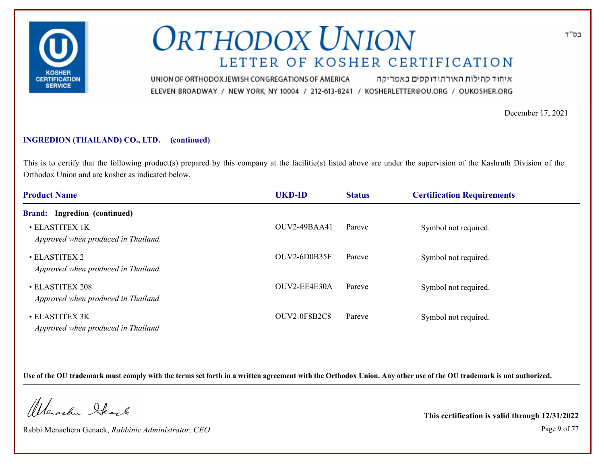

איחוד קהילות האורתודוקסים באמריקה UNION OF ORTHODOX JEWISH CONGREGATIONS OF AMERICA ELEVEN BROADWAY / NEW YORK, NY 10004 / 212-613-8241 / KOSHERLETTER@OU.ORG / OUKOSHER.ORG

December 17, 2021

#### **INGREDION (THAILAND) CO., LTD. (continued)**

This is to certify that the following product(s) prepared by this company at the facilitie(s) listed above are under the supervision of the Kashruth Division of the Orthodox Union and are kosher as indicated below.

| <b>Product Name</b>                                   | <b>UKD-ID</b>       | <b>Status</b> | <b>Certification Requirements</b> |  |
|-------------------------------------------------------|---------------------|---------------|-----------------------------------|--|
| <b>Brand:</b> Ingredion (continued)                   |                     |               |                                   |  |
| • ELASTITEX 1K<br>Approved when produced in Thailand. | <b>OUV2-49BAA41</b> | Pareve        | Symbol not required.              |  |
| • ELASTITEX 2<br>Approved when produced in Thailand.  | OUV2-6D0B35F        | Pareve        | Symbol not required.              |  |
| • ELASTITEX 208<br>Approved when produced in Thailand | OUV2-EE4E30A        | Pareve        | Symbol not required.              |  |
| • ELASTITEX 3K<br>Approved when produced in Thailand  | OUV2-0F8B2C8        | Pareve        | Symbol not required.              |  |

**Use of the OU trademark must comply with the terms set forth in a written agreement with the Orthodox Union. Any other use of the OU trademark is not authorized.**

Werschn Stack

Rabbi Menachem Genack, *Rabbinic Administrator, CEO* Page 9 of 77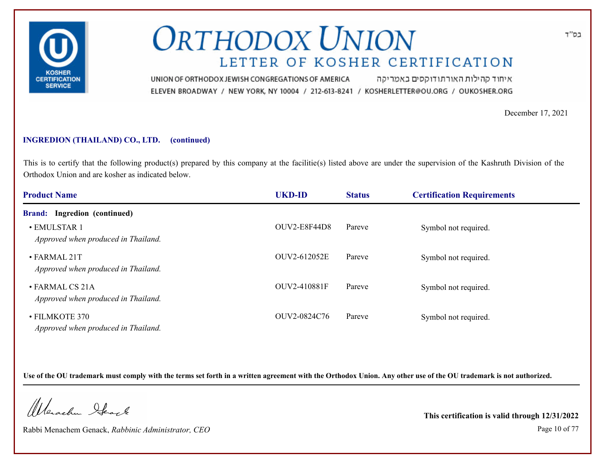

איחוד קהילות האורתודוקסים באמריקה UNION OF ORTHODOX JEWISH CONGREGATIONS OF AMERICA ELEVEN BROADWAY / NEW YORK, NY 10004 / 212-613-8241 / KOSHERLETTER@OU.ORG / OUKOSHER.ORG

December 17, 2021

#### **INGREDION (THAILAND) CO., LTD. (continued)**

This is to certify that the following product(s) prepared by this company at the facilitie(s) listed above are under the supervision of the Kashruth Division of the Orthodox Union and are kosher as indicated below.

| <b>Product Name</b>                                       | <b>UKD-ID</b>       | <b>Status</b> | <b>Certification Requirements</b> |  |
|-----------------------------------------------------------|---------------------|---------------|-----------------------------------|--|
| <b>Brand:</b> Ingredion (continued)                       |                     |               |                                   |  |
| • EMULSTAR 1<br>Approved when produced in Thailand.       | <b>OUV2-E8F44D8</b> | Pareve        | Symbol not required.              |  |
| $\cdot$ FARMAL 21T<br>Approved when produced in Thailand. | OUV2-612052E        | Pareve        | Symbol not required.              |  |
| • FARMAL CS 21A<br>Approved when produced in Thailand.    | OUV2-410881F        | Pareve        | Symbol not required.              |  |
| • FILMKOTE 370<br>Approved when produced in Thailand.     | OUV2-0824C76        | Pareve        | Symbol not required.              |  |

**Use of the OU trademark must comply with the terms set forth in a written agreement with the Orthodox Union. Any other use of the OU trademark is not authorized.**

Werschn Stack

Rabbi Menachem Genack, *Rabbinic Administrator, CEO* Page 10 of 77

**This certification is valid through 12/31/2022**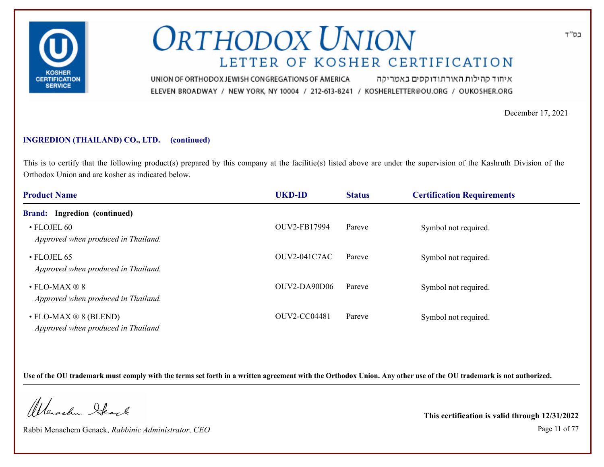

איחוד קהילות האורתודוקסים באמריקה UNION OF ORTHODOX JEWISH CONGREGATIONS OF AMERICA ELEVEN BROADWAY / NEW YORK, NY 10004 / 212-613-8241 / KOSHERLETTER@OU.ORG / OUKOSHER.ORG

December 17, 2021

#### **INGREDION (THAILAND) CO., LTD. (continued)**

This is to certify that the following product(s) prepared by this company at the facilitie(s) listed above are under the supervision of the Kashruth Division of the Orthodox Union and are kosher as indicated below.

| <b>Product Name</b>                                                       | <b>UKD-ID</b>  | <b>Status</b> | <b>Certification Requirements</b> |  |
|---------------------------------------------------------------------------|----------------|---------------|-----------------------------------|--|
| <b>Brand:</b> Ingredion (continued)                                       |                |               |                                   |  |
| • FLOJEL 60<br>Approved when produced in Thailand.                        | OUV2-FB17994   | Pareve        | Symbol not required.              |  |
| $\cdot$ FLOJEL 65<br>Approved when produced in Thailand.                  | $OUV2-041C7AC$ | Pareve        | Symbol not required.              |  |
| $\cdot$ FLO-MAX $\otimes$ 8<br>Approved when produced in Thailand.        | $OUV2-DA90D06$ | Pareve        | Symbol not required.              |  |
| $\cdot$ FLO-MAX $\otimes$ 8 (BLEND)<br>Approved when produced in Thailand | OUV2-CC04481   | Pareve        | Symbol not required.              |  |

**Use of the OU trademark must comply with the terms set forth in a written agreement with the Orthodox Union. Any other use of the OU trademark is not authorized.**

Werschn Stack

Rabbi Menachem Genack, *Rabbinic Administrator, CEO* Page 11 of 77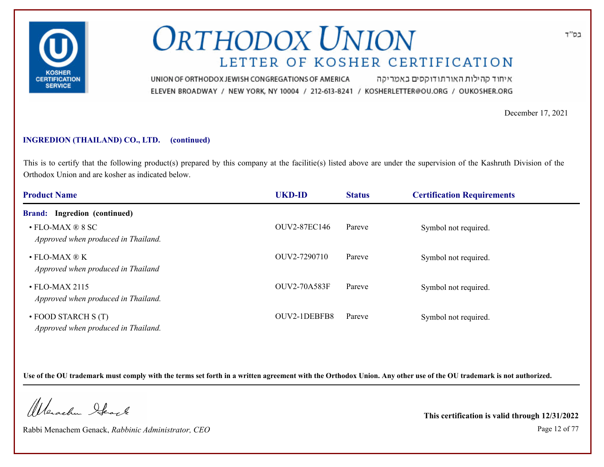

איחוד קהילות האורתודוקסים באמריקה UNION OF ORTHODOX JEWISH CONGREGATIONS OF AMERICA ELEVEN BROADWAY / NEW YORK, NY 10004 / 212-613-8241 / KOSHERLETTER@OU.ORG / OUKOSHER.ORG

December 17, 2021

#### **INGREDION (THAILAND) CO., LTD. (continued)**

This is to certify that the following product(s) prepared by this company at the facilitie(s) listed above are under the supervision of the Kashruth Division of the Orthodox Union and are kosher as indicated below.

| <b>Product Name</b>                                                     | <b>UKD-ID</b>       | <b>Status</b> | <b>Certification Requirements</b> |  |
|-------------------------------------------------------------------------|---------------------|---------------|-----------------------------------|--|
| <b>Brand:</b> Ingredion (continued)                                     |                     |               |                                   |  |
| $\cdot$ FLO-MAX $\circledR$ 8 SC<br>Approved when produced in Thailand. | <b>OUV2-87EC146</b> | Pareve        | Symbol not required.              |  |
| $\bullet$ FLO-MAX ® K<br>Approved when produced in Thailand             | OUV2-7290710        | Pareve        | Symbol not required.              |  |
| $\cdot$ FLO-MAX 2115<br>Approved when produced in Thailand.             | <b>OUV2-70A583F</b> | Pareve        | Symbol not required.              |  |
| $\cdot$ FOOD STARCH S (T)<br>Approved when produced in Thailand.        | OUV2-1DEBFB8        | Pareve        | Symbol not required.              |  |

**Use of the OU trademark must comply with the terms set forth in a written agreement with the Orthodox Union. Any other use of the OU trademark is not authorized.**

Werschn Stack

Rabbi Menachem Genack, *Rabbinic Administrator, CEO* Page 12 of 77

**This certification is valid through 12/31/2022**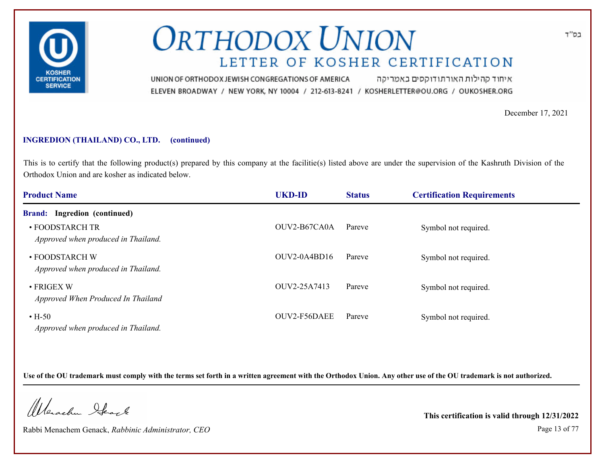

איחוד קהילות האורתודוקסים באמריקה UNION OF ORTHODOX JEWISH CONGREGATIONS OF AMERICA ELEVEN BROADWAY / NEW YORK, NY 10004 / 212-613-8241 / KOSHERLETTER@OU.ORG / OUKOSHER.ORG

December 17, 2021

#### **INGREDION (THAILAND) CO., LTD. (continued)**

This is to certify that the following product(s) prepared by this company at the facilitie(s) listed above are under the supervision of the Kashruth Division of the Orthodox Union and are kosher as indicated below.

| <b>Product Name</b>                                      | <b>UKD-ID</b>  | <b>Status</b> | <b>Certification Requirements</b> |  |
|----------------------------------------------------------|----------------|---------------|-----------------------------------|--|
| Ingredion (continued)<br><b>Brand:</b>                   |                |               |                                   |  |
| • FOODSTARCH TR<br>Approved when produced in Thailand.   | OUV2-B67CA0A   | Pareve        | Symbol not required.              |  |
| • FOODSTARCH W<br>Approved when produced in Thailand.    | $OUV2-0A4BD16$ | Pareve        | Symbol not required.              |  |
| $\bullet$ FRIGEX W<br>Approved When Produced In Thailand | OUV2-25A7413   | Pareve        | Symbol not required.              |  |
| $\cdot$ H-50<br>Approved when produced in Thailand.      | OUV2-F56DAEE   | Pareve        | Symbol not required.              |  |

**Use of the OU trademark must comply with the terms set forth in a written agreement with the Orthodox Union. Any other use of the OU trademark is not authorized.**

Werschn Stack

Rabbi Menachem Genack, *Rabbinic Administrator, CEO* Page 13 of 77

**This certification is valid through 12/31/2022**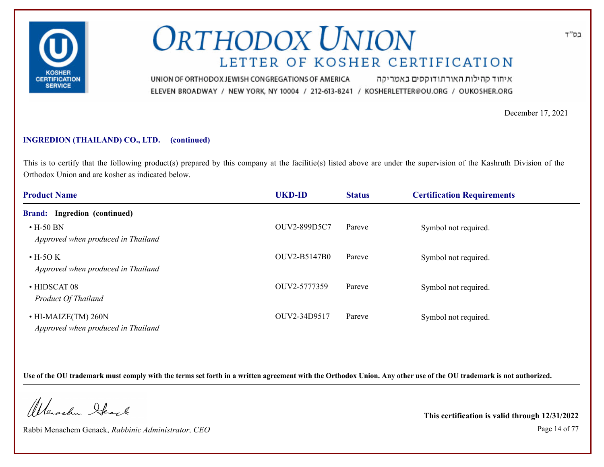

איחוד קהילות האורתודוקסים באמריקה UNION OF ORTHODOX JEWISH CONGREGATIONS OF AMERICA ELEVEN BROADWAY / NEW YORK, NY 10004 / 212-613-8241 / KOSHERLETTER@OU.ORG / OUKOSHER.ORG

December 17, 2021

#### **INGREDION (THAILAND) CO., LTD. (continued)**

This is to certify that the following product(s) prepared by this company at the facilitie(s) listed above are under the supervision of the Kashruth Division of the Orthodox Union and are kosher as indicated below.

| <b>Product Name</b>                                             | <b>UKD-ID</b> | <b>Status</b> | <b>Certification Requirements</b> |  |
|-----------------------------------------------------------------|---------------|---------------|-----------------------------------|--|
| <b>Brand:</b> Ingredion (continued)                             |               |               |                                   |  |
| $\cdot$ H-50 BN<br>Approved when produced in Thailand           | OUV2-899D5C7  | Pareve        | Symbol not required.              |  |
| $\cdot$ H-5O K<br>Approved when produced in Thailand            | OUV2-B5147B0  | Pareve        | Symbol not required.              |  |
| $\cdot$ HIDSCAT 08<br><b>Product Of Thailand</b>                | OUV2-5777359  | Pareve        | Symbol not required.              |  |
| $\cdot$ HI-MAIZE(TM) 260N<br>Approved when produced in Thailand | OUV2-34D9517  | Pareve        | Symbol not required.              |  |

**Use of the OU trademark must comply with the terms set forth in a written agreement with the Orthodox Union. Any other use of the OU trademark is not authorized.**

Werschn Stack

Rabbi Menachem Genack, *Rabbinic Administrator, CEO* Page 14 of 77

**This certification is valid through 12/31/2022**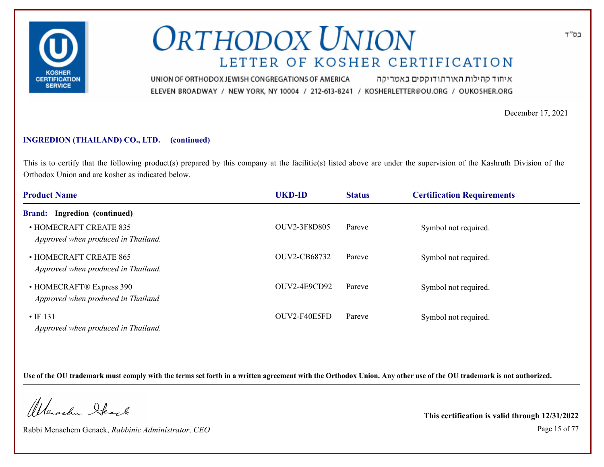

איחוד קהילות האורתודוקסים באמריקה UNION OF ORTHODOX JEWISH CONGREGATIONS OF AMERICA ELEVEN BROADWAY / NEW YORK, NY 10004 / 212-613-8241 / KOSHERLETTER@OU.ORG / OUKOSHER.ORG

December 17, 2021

### **INGREDION (THAILAND) CO., LTD. (continued)**

This is to certify that the following product(s) prepared by this company at the facilitie(s) listed above are under the supervision of the Kashruth Division of the Orthodox Union and are kosher as indicated below.

| <b>Product Name</b>                                            | <b>UKD-ID</b>       | <b>Status</b> | <b>Certification Requirements</b> |  |
|----------------------------------------------------------------|---------------------|---------------|-----------------------------------|--|
| <b>Brand:</b> Ingredion (continued)                            |                     |               |                                   |  |
| • HOMECRAFT CREATE 835<br>Approved when produced in Thailand.  | OUV2-3F8D805        | Pareve        | Symbol not required.              |  |
| • HOMECRAFT CREATE 865<br>Approved when produced in Thailand.  | <b>OUV2-CB68732</b> | Pareve        | Symbol not required.              |  |
| • HOMECRAFT® Express 390<br>Approved when produced in Thailand | OUV2-4E9CD92        | Pareve        | Symbol not required.              |  |
| $\cdot$ IF 131<br>Approved when produced in Thailand.          | OUV2-F40E5FD        | Pareve        | Symbol not required.              |  |

**Use of the OU trademark must comply with the terms set forth in a written agreement with the Orthodox Union. Any other use of the OU trademark is not authorized.**

Werschn Stack

Rabbi Menachem Genack, *Rabbinic Administrator, CEO* Page 15 of 77

**This certification is valid through 12/31/2022**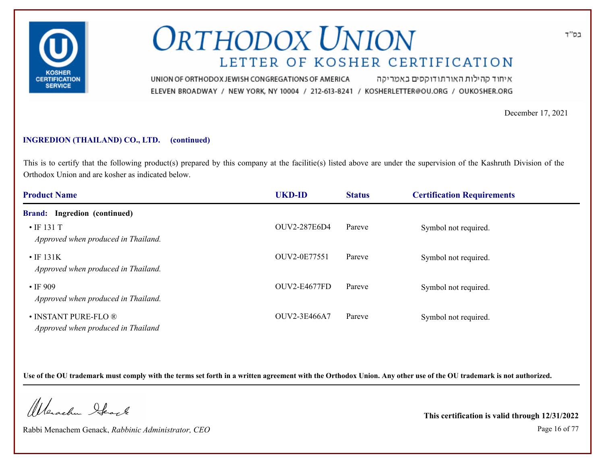

איחוד קהילות האורתודוקסים באמריקה UNION OF ORTHODOX JEWISH CONGREGATIONS OF AMERICA ELEVEN BROADWAY / NEW YORK, NY 10004 / 212-613-8241 / KOSHERLETTER@OU.ORG / OUKOSHER.ORG

December 17, 2021

### **INGREDION (THAILAND) CO., LTD. (continued)**

This is to certify that the following product(s) prepared by this company at the facilitie(s) listed above are under the supervision of the Kashruth Division of the Orthodox Union and are kosher as indicated below.

| <b>Product Name</b>                                        | <b>UKD-ID</b>       | <b>Status</b> | <b>Certification Requirements</b> |  |
|------------------------------------------------------------|---------------------|---------------|-----------------------------------|--|
| <b>Brand:</b> Ingredion (continued)                        |                     |               |                                   |  |
| $\cdot$ IF 131 T<br>Approved when produced in Thailand.    | <b>OUV2-287E6D4</b> | Pareve        | Symbol not required.              |  |
| $\cdot$ IF 131K<br>Approved when produced in Thailand.     | OUV2-0E77551        | Pareve        | Symbol not required.              |  |
| $\cdot$ IF 909<br>Approved when produced in Thailand.      | OUV2-E4677FD        | Pareve        | Symbol not required.              |  |
| • INSTANT PURE-FLO ®<br>Approved when produced in Thailand | OUV2-3E466A7        | Pareve        | Symbol not required.              |  |

**Use of the OU trademark must comply with the terms set forth in a written agreement with the Orthodox Union. Any other use of the OU trademark is not authorized.**

Werschn Stack

Rabbi Menachem Genack, *Rabbinic Administrator, CEO* Page 16 of 77

**This certification is valid through 12/31/2022**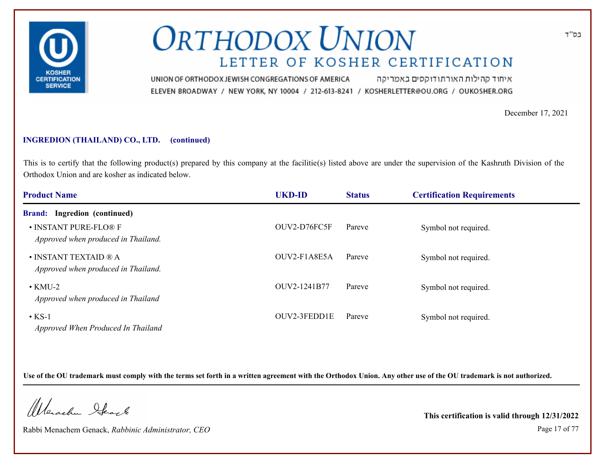

איחוד קהילות האורתודוקסים באמריקה UNION OF ORTHODOX JEWISH CONGREGATIONS OF AMERICA ELEVEN BROADWAY / NEW YORK, NY 10004 / 212-613-8241 / KOSHERLETTER@OU.ORG / OUKOSHER.ORG

December 17, 2021

### **INGREDION (THAILAND) CO., LTD. (continued)**

This is to certify that the following product(s) prepared by this company at the facilitie(s) listed above are under the supervision of the Kashruth Division of the Orthodox Union and are kosher as indicated below.

| <b>Product Name</b>                                                   | <b>UKD-ID</b> | <b>Status</b> | <b>Certification Requirements</b> |  |
|-----------------------------------------------------------------------|---------------|---------------|-----------------------------------|--|
| <b>Brand:</b> Ingredion (continued)                                   |               |               |                                   |  |
| • INSTANT PURE-FLO® F<br>Approved when produced in Thailand.          | OUV2-D76FC5F  | Pareve        | Symbol not required.              |  |
| $\bullet$ INSTANT TEXTAID $@A$<br>Approved when produced in Thailand. | OUV2-F1A8E5A  | Pareve        | Symbol not required.              |  |
| $\cdot$ KMU-2<br>Approved when produced in Thailand                   | OUV2-1241B77  | Pareve        | Symbol not required.              |  |
| $\cdot$ KS-1<br>Approved When Produced In Thailand                    | OUV2-3FEDD1E  | Pareve        | Symbol not required.              |  |

**Use of the OU trademark must comply with the terms set forth in a written agreement with the Orthodox Union. Any other use of the OU trademark is not authorized.**

Werschn Stack

Rabbi Menachem Genack, *Rabbinic Administrator, CEO* Page 17 of 77

**This certification is valid through 12/31/2022**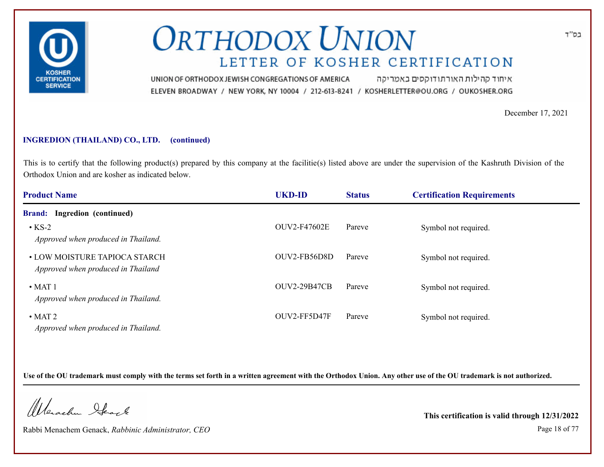

איחוד קהילות האורתודוקסים באמריקה UNION OF ORTHODOX JEWISH CONGREGATIONS OF AMERICA ELEVEN BROADWAY / NEW YORK, NY 10004 / 212-613-8241 / KOSHERLETTER@OU.ORG / OUKOSHER.ORG

December 17, 2021

#### **INGREDION (THAILAND) CO., LTD. (continued)**

This is to certify that the following product(s) prepared by this company at the facilitie(s) listed above are under the supervision of the Kashruth Division of the Orthodox Union and are kosher as indicated below.

| <b>Product Name</b>                                                 | <b>UKD-ID</b>       | <b>Status</b> | <b>Certification Requirements</b> |  |
|---------------------------------------------------------------------|---------------------|---------------|-----------------------------------|--|
| Ingredion (continued)<br><b>Brand:</b>                              |                     |               |                                   |  |
| $\cdot$ KS-2<br>Approved when produced in Thailand.                 | <b>OUV2-F47602E</b> | Pareve        | Symbol not required.              |  |
| • LOW MOISTURE TAPIOCA STARCH<br>Approved when produced in Thailand | OUV2-FB56D8D        | Pareve        | Symbol not required.              |  |
| $\bullet$ MAT 1<br>Approved when produced in Thailand.              | <b>OUV2-29B47CB</b> | Pareve        | Symbol not required.              |  |
| $\cdot$ MAT 2<br>Approved when produced in Thailand.                | OUV2-FF5D47F        | Pareve        | Symbol not required.              |  |

**Use of the OU trademark must comply with the terms set forth in a written agreement with the Orthodox Union. Any other use of the OU trademark is not authorized.**

Werschn Stack

Rabbi Menachem Genack, *Rabbinic Administrator, CEO* Page 18 of 77

**This certification is valid through 12/31/2022**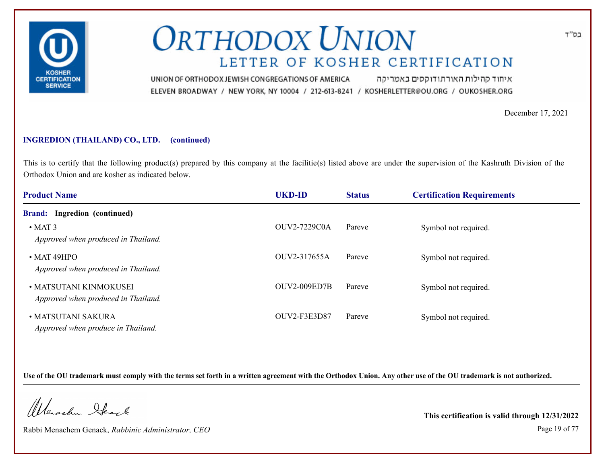

איחוד קהילות האורתודוקסים באמריקה UNION OF ORTHODOX JEWISH CONGREGATIONS OF AMERICA ELEVEN BROADWAY / NEW YORK, NY 10004 / 212-613-8241 / KOSHERLETTER@OU.ORG / OUKOSHER.ORG

December 17, 2021

### **INGREDION (THAILAND) CO., LTD. (continued)**

This is to certify that the following product(s) prepared by this company at the facilitie(s) listed above are under the supervision of the Kashruth Division of the Orthodox Union and are kosher as indicated below.

| <b>Product Name</b>                                           | <b>UKD-ID</b>       | <b>Status</b> | <b>Certification Requirements</b> |  |
|---------------------------------------------------------------|---------------------|---------------|-----------------------------------|--|
| Ingredion (continued)<br><b>Brand:</b>                        |                     |               |                                   |  |
| $\cdot$ MAT 3<br>Approved when produced in Thailand.          | <b>OUV2-7229C0A</b> | Pareve        | Symbol not required.              |  |
| $\bullet$ MAT 49HPO<br>Approved when produced in Thailand.    | OUV2-317655A        | Pareve        | Symbol not required.              |  |
| • MATSUTANI KINMOKUSEI<br>Approved when produced in Thailand. | <b>OUV2-009ED7B</b> | Pareve        | Symbol not required.              |  |
| • MATSUTANI SAKURA<br>Approved when produce in Thailand.      | OUV2-F3E3D87        | Pareve        | Symbol not required.              |  |

**Use of the OU trademark must comply with the terms set forth in a written agreement with the Orthodox Union. Any other use of the OU trademark is not authorized.**

Werschn Stack

Rabbi Menachem Genack, *Rabbinic Administrator, CEO* Page 19 of 77

**This certification is valid through 12/31/2022**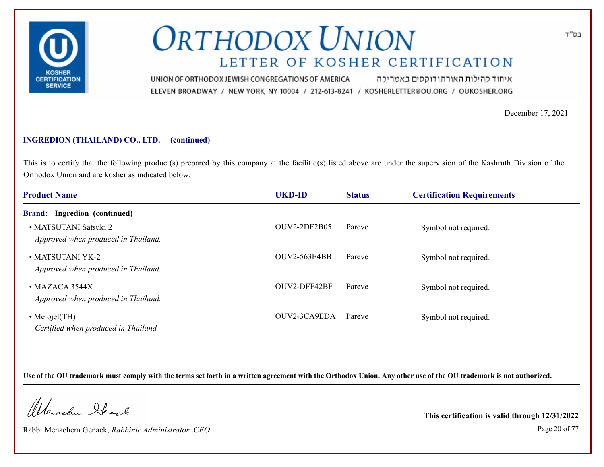

איחוד קהילות האורתודוקסים באמריקה UNION OF ORTHODOX JEWISH CONGREGATIONS OF AMERICA ELEVEN BROADWAY / NEW YORK, NY 10004 / 212-613-8241 / KOSHERLETTER@OU.ORG / OUKOSHER.ORG

December 17, 2021

#### **INGREDION (THAILAND) CO., LTD. (continued)**

This is to certify that the following product(s) prepared by this company at the facilitie(s) listed above are under the supervision of the Kashruth Division of the Orthodox Union and are kosher as indicated below.

| <b>Product Name</b>                                           | <b>UKD-ID</b>       | <b>Status</b> | <b>Certification Requirements</b> |  |
|---------------------------------------------------------------|---------------------|---------------|-----------------------------------|--|
| <b>Brand:</b> Ingredion (continued)                           |                     |               |                                   |  |
| • MATSUTANI Satsuki 2<br>Approved when produced in Thailand.  | <b>OUV2-2DF2B05</b> | Pareve        | Symbol not required.              |  |
| • MATSUTANI YK-2<br>Approved when produced in Thailand.       | <b>OUV2-563E4BB</b> | Pareve        | Symbol not required.              |  |
| $\bullet$ MAZACA 3544X<br>Approved when produced in Thailand. | OUV2-DFF42BF        | Pareve        | Symbol not required.              |  |
| $\bullet$ Melojel(TH)<br>Certified when produced in Thailand  | OUV2-3CA9EDA        | Pareve        | Symbol not required.              |  |

**Use of the OU trademark must comply with the terms set forth in a written agreement with the Orthodox Union. Any other use of the OU trademark is not authorized.**

Werschn Stack

Rabbi Menachem Genack, *Rabbinic Administrator, CEO* Page 20 of 77

**This certification is valid through 12/31/2022**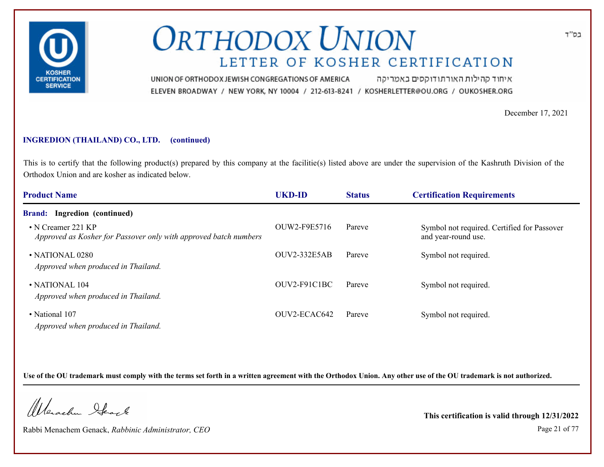

איחוד קהילות האורתודוקסים באמריקה UNION OF ORTHODOX JEWISH CONGREGATIONS OF AMERICA ELEVEN BROADWAY / NEW YORK, NY 10004 / 212-613-8241 / KOSHERLETTER@OU.ORG / OUKOSHER.ORG

December 17, 2021

#### **INGREDION (THAILAND) CO., LTD. (continued)**

This is to certify that the following product(s) prepared by this company at the facilitie(s) listed above are under the supervision of the Kashruth Division of the Orthodox Union and are kosher as indicated below.

| <b>Product Name</b>                                                                          | <b>UKD-ID</b>       | <b>Status</b> | <b>Certification Requirements</b>                                  |
|----------------------------------------------------------------------------------------------|---------------------|---------------|--------------------------------------------------------------------|
| <b>Brand:</b> Ingredion (continued)                                                          |                     |               |                                                                    |
| $\cdot$ N Creamer 221 KP<br>Approved as Kosher for Passover only with approved batch numbers | OUW2-F9E5716        | Pareve        | Symbol not required. Certified for Passover<br>and year-round use. |
| $\bullet$ NATIONAL 0280<br>Approved when produced in Thailand.                               | <b>OUV2-332E5AB</b> | Pareve        | Symbol not required.                                               |
| $\bullet$ NATIONAL 104<br>Approved when produced in Thailand.                                | OUV2-F91C1BC        | Pareve        | Symbol not required.                                               |
| • National 107<br>Approved when produced in Thailand.                                        | OUV2-ECAC642        | Pareve        | Symbol not required.                                               |

**Use of the OU trademark must comply with the terms set forth in a written agreement with the Orthodox Union. Any other use of the OU trademark is not authorized.**

Werschn Stack

Rabbi Menachem Genack, *Rabbinic Administrator, CEO* Page 21 of 77

**This certification is valid through 12/31/2022**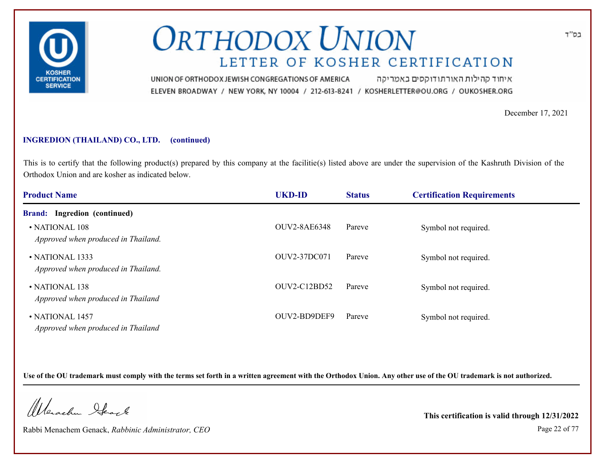

איחוד קהילות האורתודוקסים באמריקה UNION OF ORTHODOX JEWISH CONGREGATIONS OF AMERICA ELEVEN BROADWAY / NEW YORK, NY 10004 / 212-613-8241 / KOSHERLETTER@OU.ORG / OUKOSHER.ORG

December 17, 2021

#### **INGREDION (THAILAND) CO., LTD. (continued)**

This is to certify that the following product(s) prepared by this company at the facilitie(s) listed above are under the supervision of the Kashruth Division of the Orthodox Union and are kosher as indicated below.

| <b>Product Name</b>                                        | <b>UKD-ID</b>       | <b>Status</b> | <b>Certification Requirements</b> |  |
|------------------------------------------------------------|---------------------|---------------|-----------------------------------|--|
| <b>Brand:</b> Ingredion (continued)                        |                     |               |                                   |  |
| • NATIONAL 108<br>Approved when produced in Thailand.      | <b>OUV2-8AE6348</b> | Pareve        | Symbol not required.              |  |
| • NATIONAL 1333<br>Approved when produced in Thailand.     | OUV2-37DC071        | Pareve        | Symbol not required.              |  |
| $\cdot$ NATIONAL 138<br>Approved when produced in Thailand | OUV2-C12BD52        | Pareve        | Symbol not required.              |  |
| • NATIONAL 1457<br>Approved when produced in Thailand      | OUV2-BD9DEF9        | Pareve        | Symbol not required.              |  |

**Use of the OU trademark must comply with the terms set forth in a written agreement with the Orthodox Union. Any other use of the OU trademark is not authorized.**

Werschn Stack

Rabbi Menachem Genack, *Rabbinic Administrator, CEO* Page 22 of 77

**This certification is valid through 12/31/2022**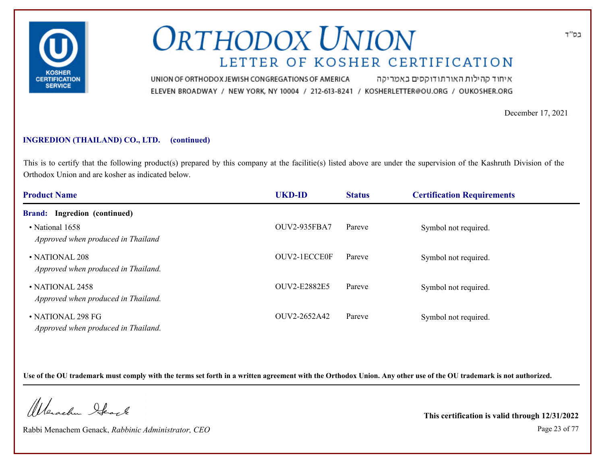

איחוד קהילות האורתודוקסים באמריקה UNION OF ORTHODOX JEWISH CONGREGATIONS OF AMERICA ELEVEN BROADWAY / NEW YORK, NY 10004 / 212-613-8241 / KOSHERLETTER@OU.ORG / OUKOSHER.ORG

December 17, 2021

#### **INGREDION (THAILAND) CO., LTD. (continued)**

This is to certify that the following product(s) prepared by this company at the facilitie(s) listed above are under the supervision of the Kashruth Division of the Orthodox Union and are kosher as indicated below.

| <b>Product Name</b>                                      | <b>UKD-ID</b>       | <b>Status</b> | <b>Certification Requirements</b> |  |
|----------------------------------------------------------|---------------------|---------------|-----------------------------------|--|
| <b>Brand:</b> Ingredion (continued)                      |                     |               |                                   |  |
| • National 1658<br>Approved when produced in Thailand    | <b>OUV2-935FBA7</b> | Pareve        | Symbol not required.              |  |
| • NATIONAL 208<br>Approved when produced in Thailand.    | OUV2-1ECCE0F        | Pareve        | Symbol not required.              |  |
| • NATIONAL 2458<br>Approved when produced in Thailand.   | <b>OUV2-E2882E5</b> | Pareve        | Symbol not required.              |  |
| • NATIONAL 298 FG<br>Approved when produced in Thailand. | OUV2-2652A42        | Pareve        | Symbol not required.              |  |

**Use of the OU trademark must comply with the terms set forth in a written agreement with the Orthodox Union. Any other use of the OU trademark is not authorized.**

Werschn Stack

Rabbi Menachem Genack, *Rabbinic Administrator, CEO* Page 23 of 77

**This certification is valid through 12/31/2022**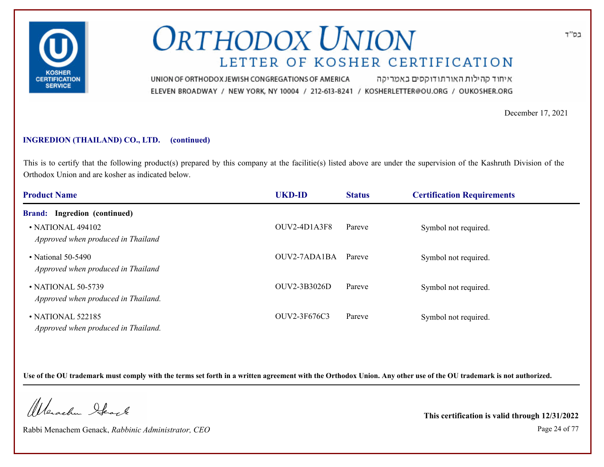

איחוד קהילות האורתודוקסים באמריקה UNION OF ORTHODOX JEWISH CONGREGATIONS OF AMERICA ELEVEN BROADWAY / NEW YORK, NY 10004 / 212-613-8241 / KOSHERLETTER@OU.ORG / OUKOSHER.ORG

December 17, 2021

### **INGREDION (THAILAND) CO., LTD. (continued)**

This is to certify that the following product(s) prepared by this company at the facilitie(s) listed above are under the supervision of the Kashruth Division of the Orthodox Union and are kosher as indicated below.

| <b>Product Name</b>                                       | <b>UKD-ID</b> | <b>Status</b> | <b>Certification Requirements</b> |  |
|-----------------------------------------------------------|---------------|---------------|-----------------------------------|--|
| <b>Brand:</b> Ingredion (continued)                       |               |               |                                   |  |
| • NATIONAL 494102<br>Approved when produced in Thailand   | OUV2-4D1A3F8  | Pareve        | Symbol not required.              |  |
| • National 50-5490<br>Approved when produced in Thailand  | OUV2-7ADA1BA  | Pareve        | Symbol not required.              |  |
| • NATIONAL 50-5739<br>Approved when produced in Thailand. | OUV2-3B3026D  | Pareve        | Symbol not required.              |  |
| • NATIONAL 522185<br>Approved when produced in Thailand.  | OUV2-3F676C3  | Pareve        | Symbol not required.              |  |

**Use of the OU trademark must comply with the terms set forth in a written agreement with the Orthodox Union. Any other use of the OU trademark is not authorized.**

Werschn Stack

Rabbi Menachem Genack, *Rabbinic Administrator, CEO* Page 24 of 77

**This certification is valid through 12/31/2022**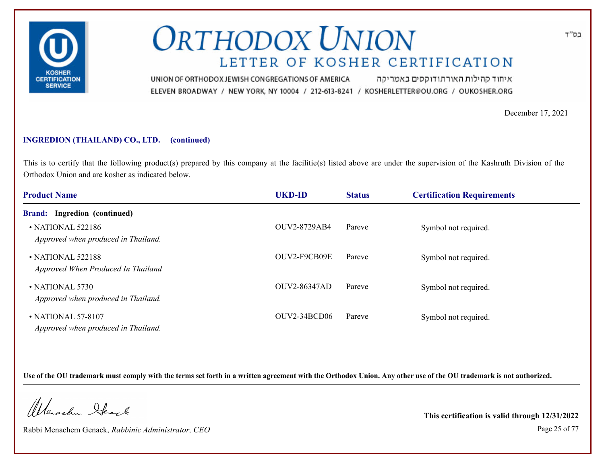

איחוד קהילות האורתודוקסים באמריקה UNION OF ORTHODOX JEWISH CONGREGATIONS OF AMERICA ELEVEN BROADWAY / NEW YORK, NY 10004 / 212-613-8241 / KOSHERLETTER@OU.ORG / OUKOSHER.ORG

December 17, 2021

### **INGREDION (THAILAND) CO., LTD. (continued)**

This is to certify that the following product(s) prepared by this company at the facilitie(s) listed above are under the supervision of the Kashruth Division of the Orthodox Union and are kosher as indicated below.

| <b>Product Name</b>                                          | <b>UKD-ID</b>       | <b>Status</b> | <b>Certification Requirements</b> |  |
|--------------------------------------------------------------|---------------------|---------------|-----------------------------------|--|
| <b>Brand:</b> Ingredion (continued)                          |                     |               |                                   |  |
| • NATIONAL 522186<br>Approved when produced in Thailand.     | <b>OUV2-8729AB4</b> | Pareve        | Symbol not required.              |  |
| • NATIONAL 522188<br>Approved When Produced In Thailand      | OUV2-F9CB09E        | Pareve        | Symbol not required.              |  |
| $\cdot$ NATIONAL 5730<br>Approved when produced in Thailand. | <b>OUV2-86347AD</b> | Pareve        | Symbol not required.              |  |
| • NATIONAL 57-8107<br>Approved when produced in Thailand.    | OUV2-34BCD06        | Pareve        | Symbol not required.              |  |

**Use of the OU trademark must comply with the terms set forth in a written agreement with the Orthodox Union. Any other use of the OU trademark is not authorized.**

Werschn Stack

Rabbi Menachem Genack, *Rabbinic Administrator, CEO* Page 25 of 77

**This certification is valid through 12/31/2022**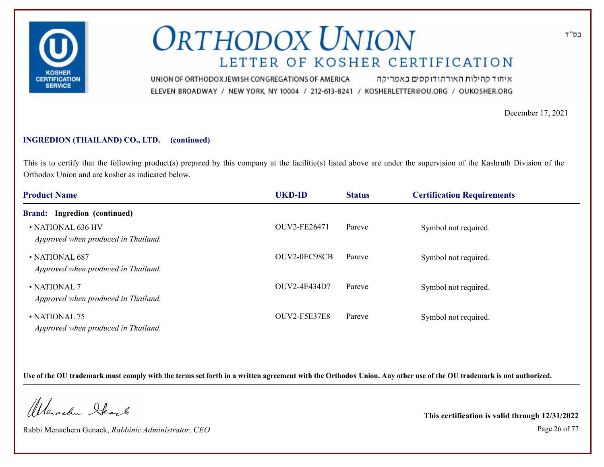

איחוד קהילות האורתודוקסים באמריקה UNION OF ORTHODOX JEWISH CONGREGATIONS OF AMERICA ELEVEN BROADWAY / NEW YORK, NY 10004 / 212-613-8241 / KOSHERLETTER@OU.ORG / OUKOSHER.ORG

December 17, 2021

### **INGREDION (THAILAND) CO., LTD. (continued)**

This is to certify that the following product(s) prepared by this company at the facilitie(s) listed above are under the supervision of the Kashruth Division of the Orthodox Union and are kosher as indicated below.

| <b>Product Name</b>                                       | <b>UKD-ID</b>       | <b>Status</b> | <b>Certification Requirements</b> |  |
|-----------------------------------------------------------|---------------------|---------------|-----------------------------------|--|
| <b>Brand:</b> Ingredion (continued)                       |                     |               |                                   |  |
| • NATIONAL 636 HV<br>Approved when produced in Thailand.  | OUV2-FE26471        | Pareve        | Symbol not required.              |  |
| • NATIONAL 687<br>Approved when produced in Thailand.     | OUV2-0EC98CB        | Pareve        | Symbol not required.              |  |
| $\cdot$ NATIONAL 7<br>Approved when produced in Thailand. | OUV2-4E434D7        | Pareve        | Symbol not required.              |  |
| • NATIONAL 75<br>Approved when produced in Thailand.      | <b>OUV2-F5E37E8</b> | Pareve        | Symbol not required.              |  |

**Use of the OU trademark must comply with the terms set forth in a written agreement with the Orthodox Union. Any other use of the OU trademark is not authorized.**

Werschn Stack

Rabbi Menachem Genack, *Rabbinic Administrator, CEO* Page 26 of 77

**This certification is valid through 12/31/2022**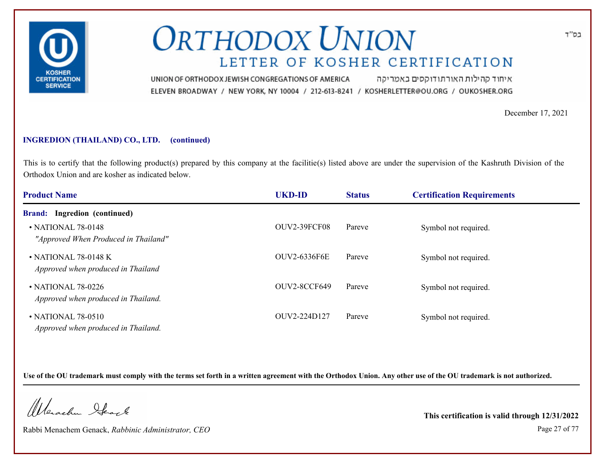

איחוד קהילות האורתודוקסים באמריקה UNION OF ORTHODOX JEWISH CONGREGATIONS OF AMERICA ELEVEN BROADWAY / NEW YORK, NY 10004 / 212-613-8241 / KOSHERLETTER@OU.ORG / OUKOSHER.ORG

December 17, 2021

### **INGREDION (THAILAND) CO., LTD. (continued)**

This is to certify that the following product(s) prepared by this company at the facilitie(s) listed above are under the supervision of the Kashruth Division of the Orthodox Union and are kosher as indicated below.

| <b>Product Name</b>                                              | <b>UKD-ID</b> | <b>Status</b> | <b>Certification Requirements</b> |  |
|------------------------------------------------------------------|---------------|---------------|-----------------------------------|--|
| <b>Brand:</b> Ingredion (continued)                              |               |               |                                   |  |
| • NATIONAL 78-0148<br>"Approved When Produced in Thailand"       | OUV2-39FCF08  | Pareve        | Symbol not required.              |  |
| $\cdot$ NATIONAL 78-0148 K<br>Approved when produced in Thailand | OUV2-6336F6E  | Pareve        | Symbol not required.              |  |
| • NATIONAL 78-0226<br>Approved when produced in Thailand.        | OUV2-8CCF649  | Pareve        | Symbol not required.              |  |
| • NATIONAL 78-0510<br>Approved when produced in Thailand.        | OUV2-224D127  | Pareve        | Symbol not required.              |  |

**Use of the OU trademark must comply with the terms set forth in a written agreement with the Orthodox Union. Any other use of the OU trademark is not authorized.**

Werschn Stack

Rabbi Menachem Genack, *Rabbinic Administrator, CEO* Page 27 of 77

**This certification is valid through 12/31/2022**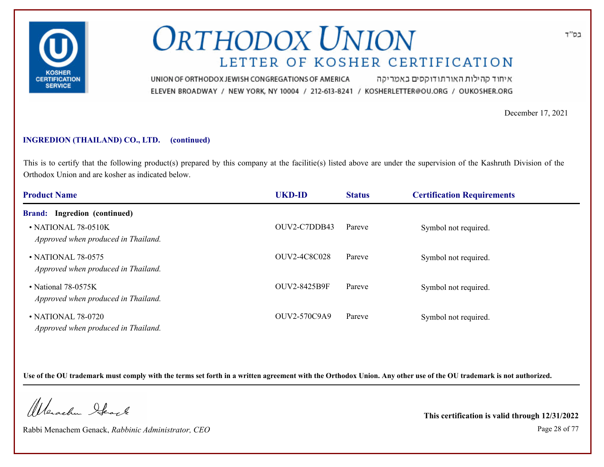

איחוד קהילות האורתודוקסים באמריקה UNION OF ORTHODOX JEWISH CONGREGATIONS OF AMERICA ELEVEN BROADWAY / NEW YORK, NY 10004 / 212-613-8241 / KOSHERLETTER@OU.ORG / OUKOSHER.ORG

December 17, 2021

#### **INGREDION (THAILAND) CO., LTD. (continued)**

This is to certify that the following product(s) prepared by this company at the facilitie(s) listed above are under the supervision of the Kashruth Division of the Orthodox Union and are kosher as indicated below.

| <b>Product Name</b>                                              | <b>UKD-ID</b>       | <b>Status</b> | <b>Certification Requirements</b> |  |
|------------------------------------------------------------------|---------------------|---------------|-----------------------------------|--|
| <b>Brand:</b> Ingredion (continued)                              |                     |               |                                   |  |
| $\cdot$ NATIONAL 78-0510K<br>Approved when produced in Thailand. | OUV2-C7DDB43        | Pareve        | Symbol not required.              |  |
| • NATIONAL 78-0575<br>Approved when produced in Thailand.        | <b>OUV2-4C8C028</b> | Pareve        | Symbol not required.              |  |
| • National 78-0575K<br>Approved when produced in Thailand.       | <b>OUV2-8425B9F</b> | Pareve        | Symbol not required.              |  |
| • NATIONAL 78-0720<br>Approved when produced in Thailand.        | OUV2-570C9A9        | Pareve        | Symbol not required.              |  |

**Use of the OU trademark must comply with the terms set forth in a written agreement with the Orthodox Union. Any other use of the OU trademark is not authorized.**

Werschn Stack

Rabbi Menachem Genack, *Rabbinic Administrator, CEO* Page 28 of 77

**This certification is valid through 12/31/2022**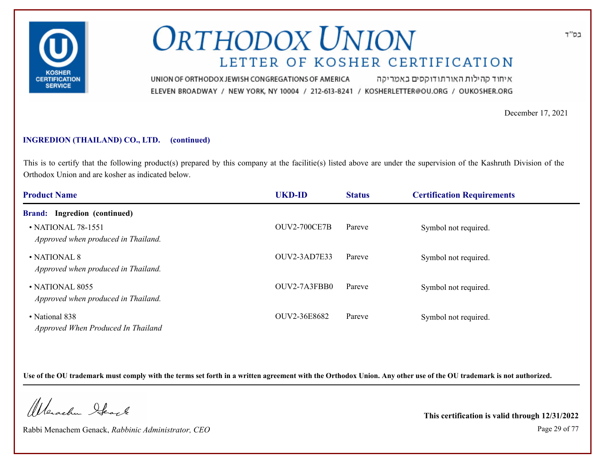

איחוד קהילות האורתודוקסים באמריקה UNION OF ORTHODOX JEWISH CONGREGATIONS OF AMERICA ELEVEN BROADWAY / NEW YORK, NY 10004 / 212-613-8241 / KOSHERLETTER@OU.ORG / OUKOSHER.ORG

December 17, 2021

### **INGREDION (THAILAND) CO., LTD. (continued)**

This is to certify that the following product(s) prepared by this company at the facilitie(s) listed above are under the supervision of the Kashruth Division of the Orthodox Union and are kosher as indicated below.

| <b>Product Name</b>                                             | <b>UKD-ID</b>       | <b>Status</b> | <b>Certification Requirements</b> |  |
|-----------------------------------------------------------------|---------------------|---------------|-----------------------------------|--|
| <b>Brand:</b> Ingredion (continued)                             |                     |               |                                   |  |
| $\cdot$ NATIONAL 78-1551<br>Approved when produced in Thailand. | <b>OUV2-700CE7B</b> | Pareve        | Symbol not required.              |  |
| • NATIONAL 8<br>Approved when produced in Thailand.             | OUV2-3AD7E33        | Pareve        | Symbol not required.              |  |
| $\cdot$ NATIONAL 8055<br>Approved when produced in Thailand.    | OUV2-7A3FBB0        | Pareve        | Symbol not required.              |  |
| • National 838<br>Approved When Produced In Thailand            | OUV2-36E8682        | Pareve        | Symbol not required.              |  |

**Use of the OU trademark must comply with the terms set forth in a written agreement with the Orthodox Union. Any other use of the OU trademark is not authorized.**

Werschn Stack

Rabbi Menachem Genack, *Rabbinic Administrator, CEO* Page 29 of 77

**This certification is valid through 12/31/2022**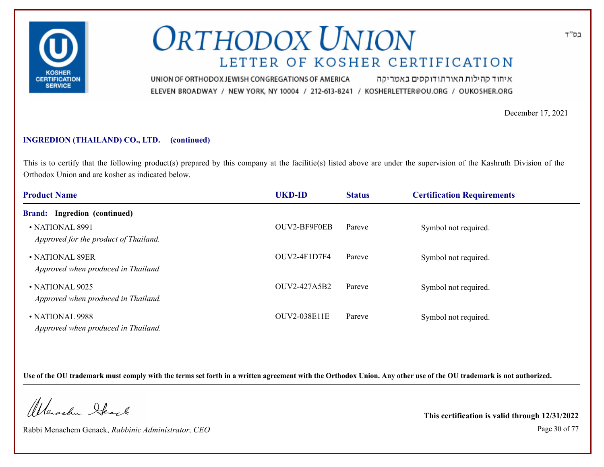

איחוד קהילות האורתודוקסים באמריקה UNION OF ORTHODOX JEWISH CONGREGATIONS OF AMERICA ELEVEN BROADWAY / NEW YORK, NY 10004 / 212-613-8241 / KOSHERLETTER@OU.ORG / OUKOSHER.ORG

December 17, 2021

### **INGREDION (THAILAND) CO., LTD. (continued)**

This is to certify that the following product(s) prepared by this company at the facilitie(s) listed above are under the supervision of the Kashruth Division of the Orthodox Union and are kosher as indicated below.

| <b>Product Name</b>                                          | <b>UKD-ID</b>       | <b>Status</b> | <b>Certification Requirements</b> |  |
|--------------------------------------------------------------|---------------------|---------------|-----------------------------------|--|
| <b>Brand:</b> Ingredion (continued)                          |                     |               |                                   |  |
| • NATIONAL 8991<br>Approved for the product of Thailand.     | OUV2-BF9F0EB        | Pareve        | Symbol not required.              |  |
| • NATIONAL 89ER<br>Approved when produced in Thailand        | $OUV2-4F1D7F4$      | Pareve        | Symbol not required.              |  |
| $\cdot$ NATIONAL 9025<br>Approved when produced in Thailand. | OUV2-427A5B2        | Pareve        | Symbol not required.              |  |
| • NATIONAL 9988<br>Approved when produced in Thailand.       | <b>OUV2-038E11E</b> | Pareve        | Symbol not required.              |  |

**Use of the OU trademark must comply with the terms set forth in a written agreement with the Orthodox Union. Any other use of the OU trademark is not authorized.**

Werschn Stack

Rabbi Menachem Genack, *Rabbinic Administrator, CEO* Page 30 of 77

**This certification is valid through 12/31/2022**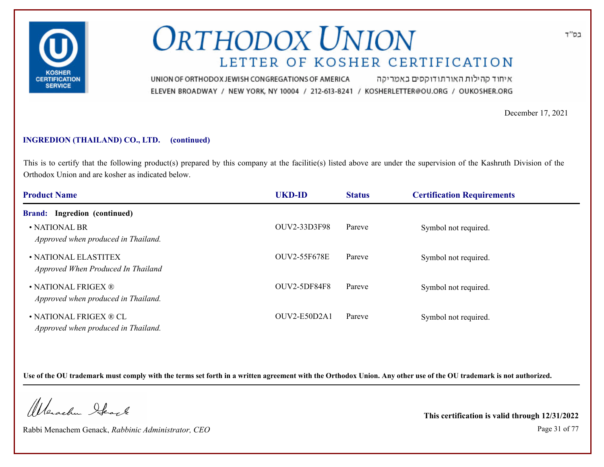

איחוד קהילות האורתודוקסים באמריקה UNION OF ORTHODOX JEWISH CONGREGATIONS OF AMERICA ELEVEN BROADWAY / NEW YORK, NY 10004 / 212-613-8241 / KOSHERLETTER@OU.ORG / OUKOSHER.ORG

December 17, 2021

### **INGREDION (THAILAND) CO., LTD. (continued)**

This is to certify that the following product(s) prepared by this company at the facilitie(s) listed above are under the supervision of the Kashruth Division of the Orthodox Union and are kosher as indicated below.

| <b>Product Name</b>                                           | <b>UKD-ID</b>       | <b>Status</b> | <b>Certification Requirements</b> |  |
|---------------------------------------------------------------|---------------------|---------------|-----------------------------------|--|
| <b>Brand:</b> Ingredion (continued)                           |                     |               |                                   |  |
| • NATIONAL BR<br>Approved when produced in Thailand.          | OUV2-33D3F98        | Pareve        | Symbol not required.              |  |
| • NATIONAL ELASTITEX<br>Approved When Produced In Thailand    | <b>OUV2-55F678E</b> | Pareve        | Symbol not required.              |  |
| • NATIONAL FRIGEX ®<br>Approved when produced in Thailand.    | OUV2-5DF84F8        | Pareve        | Symbol not required.              |  |
| • NATIONAL FRIGEX ® CL<br>Approved when produced in Thailand. | OUV2-E50D2A1        | Pareve        | Symbol not required.              |  |

**Use of the OU trademark must comply with the terms set forth in a written agreement with the Orthodox Union. Any other use of the OU trademark is not authorized.**

Werschn Stack

Rabbi Menachem Genack, *Rabbinic Administrator, CEO* Page 31 of 77

**This certification is valid through 12/31/2022**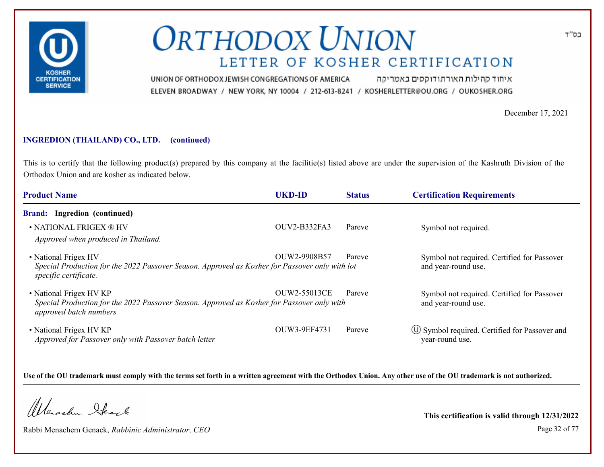

איחוד קהילות האורתודוקסים באמריקה UNION OF ORTHODOX JEWISH CONGREGATIONS OF AMERICA ELEVEN BROADWAY / NEW YORK, NY 10004 / 212-613-8241 / KOSHERLETTER@OU.ORG / OUKOSHER.ORG

December 17, 2021

#### **INGREDION (THAILAND) CO., LTD. (continued)**

This is to certify that the following product(s) prepared by this company at the facilitie(s) listed above are under the supervision of the Kashruth Division of the Orthodox Union and are kosher as indicated below.

| <b>Product Name</b>                                                                                                                             | <b>UKD-ID</b> | <b>Status</b> | <b>Certification Requirements</b>                                      |
|-------------------------------------------------------------------------------------------------------------------------------------------------|---------------|---------------|------------------------------------------------------------------------|
| <b>Brand:</b> Ingredion (continued)                                                                                                             |               |               |                                                                        |
| • NATIONAL FRIGEX ® HV<br>Approved when produced in Thailand.                                                                                   | OUV2-B332FA3  | Pareve        | Symbol not required.                                                   |
| • National Frigex HV<br>Special Production for the 2022 Passover Season. Approved as Kosher for Passover only with lot<br>specific certificate. | OUW2-9908B57  | Pareve        | Symbol not required. Certified for Passover<br>and year-round use.     |
| • National Frigex HV KP<br>Special Production for the 2022 Passover Season. Approved as Kosher for Passover only with<br>approved batch numbers | OUW2-55013CE  | Pareve        | Symbol not required. Certified for Passover<br>and year-round use.     |
| • National Frigex HV KP<br>Approved for Passover only with Passover batch letter                                                                | OUW3-9EF4731  | Pareve        | $\circ$ Symbol required. Certified for Passover and<br>year-round use. |

**Use of the OU trademark must comply with the terms set forth in a written agreement with the Orthodox Union. Any other use of the OU trademark is not authorized.**

Werschn Stack

Rabbi Menachem Genack, *Rabbinic Administrator, CEO* Page 32 of 77

**This certification is valid through 12/31/2022**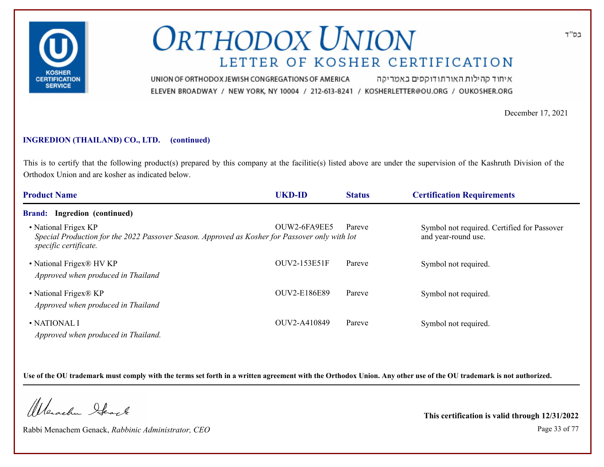

איחוד קהילות האורתודוקסים באמריקה UNION OF ORTHODOX JEWISH CONGREGATIONS OF AMERICA ELEVEN BROADWAY / NEW YORK, NY 10004 / 212-613-8241 / KOSHERLETTER@OU.ORG / OUKOSHER.ORG

December 17, 2021

#### **INGREDION (THAILAND) CO., LTD. (continued)**

This is to certify that the following product(s) prepared by this company at the facilitie(s) listed above are under the supervision of the Kashruth Division of the Orthodox Union and are kosher as indicated below.

| <b>Product Name</b>                                                                                                                             | <b>UKD-ID</b> | <b>Status</b> | <b>Certification Requirements</b>                                  |
|-------------------------------------------------------------------------------------------------------------------------------------------------|---------------|---------------|--------------------------------------------------------------------|
| <b>Brand:</b> Ingredion (continued)                                                                                                             |               |               |                                                                    |
| • National Frigex KP<br>Special Production for the 2022 Passover Season. Approved as Kosher for Passover only with lot<br>specific certificate. | OUW2-6FA9EE5  | Pareve        | Symbol not required. Certified for Passover<br>and year-round use. |
| • National Frigex® HV KP<br>Approved when produced in Thailand                                                                                  | OUV2-153E51F  | Pareve        | Symbol not required.                                               |
| • National Frigex® KP<br>Approved when produced in Thailand                                                                                     | OUV2-E186E89  | Pareve        | Symbol not required.                                               |
| • NATIONAL I<br>Approved when produced in Thailand.                                                                                             | OUV2-A410849  | Pareve        | Symbol not required.                                               |

**Use of the OU trademark must comply with the terms set forth in a written agreement with the Orthodox Union. Any other use of the OU trademark is not authorized.**

Werschn Stack

Rabbi Menachem Genack, *Rabbinic Administrator, CEO* Page 33 of 77

**This certification is valid through 12/31/2022**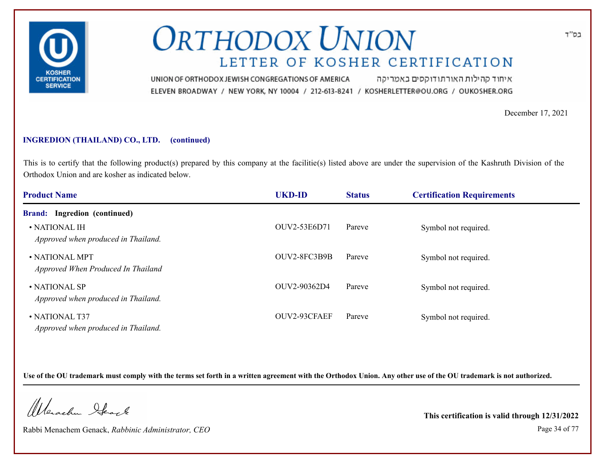

איחוד קהילות האורתודוקסים באמריקה UNION OF ORTHODOX JEWISH CONGREGATIONS OF AMERICA ELEVEN BROADWAY / NEW YORK, NY 10004 / 212-613-8241 / KOSHERLETTER@OU.ORG / OUKOSHER.ORG

December 17, 2021

### **INGREDION (THAILAND) CO., LTD. (continued)**

This is to certify that the following product(s) prepared by this company at the facilitie(s) listed above are under the supervision of the Kashruth Division of the Orthodox Union and are kosher as indicated below.

| <b>Product Name</b>                                          | <b>UKD-ID</b> | <b>Status</b> | <b>Certification Requirements</b> |  |
|--------------------------------------------------------------|---------------|---------------|-----------------------------------|--|
| <b>Brand:</b> Ingredion (continued)                          |               |               |                                   |  |
| $\bullet$ NATIONAL IH<br>Approved when produced in Thailand. | OUV2-53E6D71  | Pareve        | Symbol not required.              |  |
| • NATIONAL MPT<br>Approved When Produced In Thailand         | OUV2-8FC3B9B  | Pareve        | Symbol not required.              |  |
| • NATIONAL SP<br>Approved when produced in Thailand.         | OUV2-90362D4  | Pareve        | Symbol not required.              |  |
| • NATIONAL T37<br>Approved when produced in Thailand.        | OUV2-93CFAEF  | Pareve        | Symbol not required.              |  |

**Use of the OU trademark must comply with the terms set forth in a written agreement with the Orthodox Union. Any other use of the OU trademark is not authorized.**

Werschn Stack

Rabbi Menachem Genack, *Rabbinic Administrator, CEO* Page 34 of 77

**This certification is valid through 12/31/2022**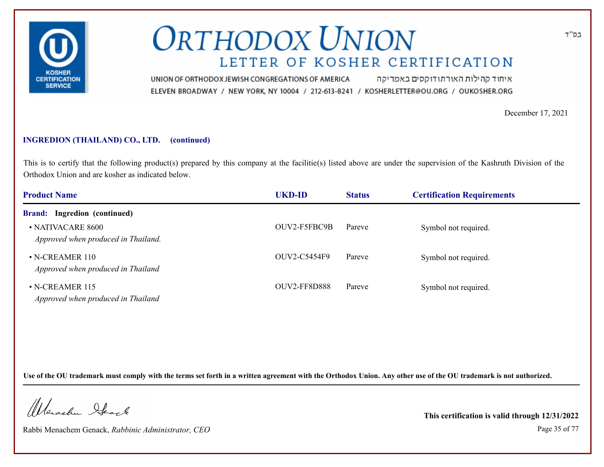

איחוד קהילות האורתודוקסים באמריקה UNION OF ORTHODOX JEWISH CONGREGATIONS OF AMERICA ELEVEN BROADWAY / NEW YORK, NY 10004 / 212-613-8241 / KOSHERLETTER@OU.ORG / OUKOSHER.ORG

December 17, 2021

#### **INGREDION (THAILAND) CO., LTD. (continued)**

This is to certify that the following product(s) prepared by this company at the facilitie(s) listed above are under the supervision of the Kashruth Division of the Orthodox Union and are kosher as indicated below.

| <b>Product Name</b>                                         | <b>UKD-ID</b>       | <b>Status</b> | <b>Certification Requirements</b> |  |
|-------------------------------------------------------------|---------------------|---------------|-----------------------------------|--|
| <b>Brand:</b> Ingredion (continued)                         |                     |               |                                   |  |
| • NATIVACARE 8600<br>Approved when produced in Thailand.    | OUV2-F5FBC9B        | Pareve        | Symbol not required.              |  |
| $\cdot$ N-CREAMER 110<br>Approved when produced in Thailand | OUV2-C5454F9        | Pareve        | Symbol not required.              |  |
| • N-CREAMER 115<br>Approved when produced in Thailand       | <b>OUV2-FF8D888</b> | Pareve        | Symbol not required.              |  |

**Use of the OU trademark must comply with the terms set forth in a written agreement with the Orthodox Union. Any other use of the OU trademark is not authorized.**

Werschn Ifeart

Rabbi Menachem Genack, *Rabbinic Administrator, CEO* Page 35 of 77

**This certification is valid through 12/31/2022**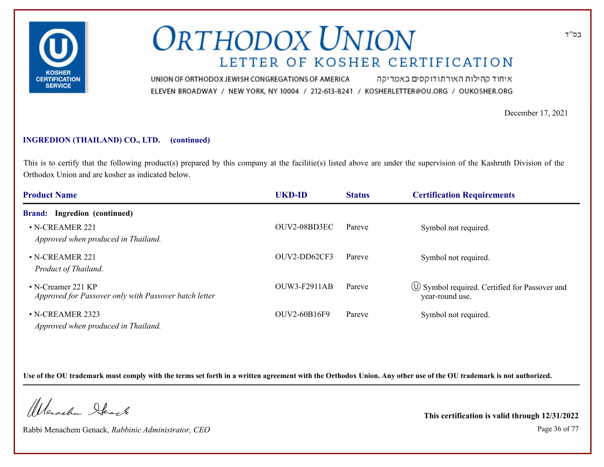

איחוד קהילות האורתודוקסים באמריקה UNION OF ORTHODOX JEWISH CONGREGATIONS OF AMERICA ELEVEN BROADWAY / NEW YORK, NY 10004 / 212-613-8241 / KOSHERLETTER@OU.ORG / OUKOSHER.ORG

December 17, 2021

#### **INGREDION (THAILAND) CO., LTD. (continued)**

This is to certify that the following product(s) prepared by this company at the facilitie(s) listed above are under the supervision of the Kashruth Division of the Orthodox Union and are kosher as indicated below.

| <b>Product Name</b>                                                           | <b>UKD-ID</b>       | <b>Status</b> | <b>Certification Requirements</b>                                      |  |
|-------------------------------------------------------------------------------|---------------------|---------------|------------------------------------------------------------------------|--|
| <b>Brand:</b> Ingredion (continued)                                           |                     |               |                                                                        |  |
| $\cdot$ N-CREAMER 221<br>Approved when produced in Thailand.                  | OUV2-08BD3EC        | Pareve        | Symbol not required.                                                   |  |
| $\cdot$ N-CREAMER 221<br>Product of Thailand.                                 | OUV2-DD62CF3        | Pareve        | Symbol not required.                                                   |  |
| • N-Creamer 221 $KP$<br>Approved for Passover only with Passover batch letter | <b>OUW3-F2911AB</b> | Pareve        | $\circ$ Symbol required. Certified for Passover and<br>year-round use. |  |
| $\cdot$ N-CREAMER 2323<br>Approved when produced in Thailand.                 | <b>OUV2-60B16F9</b> | Pareve        | Symbol not required.                                                   |  |

**Use of the OU trademark must comply with the terms set forth in a written agreement with the Orthodox Union. Any other use of the OU trademark is not authorized.**

Werschn Stack

Rabbi Menachem Genack, *Rabbinic Administrator, CEO* Page 36 of 77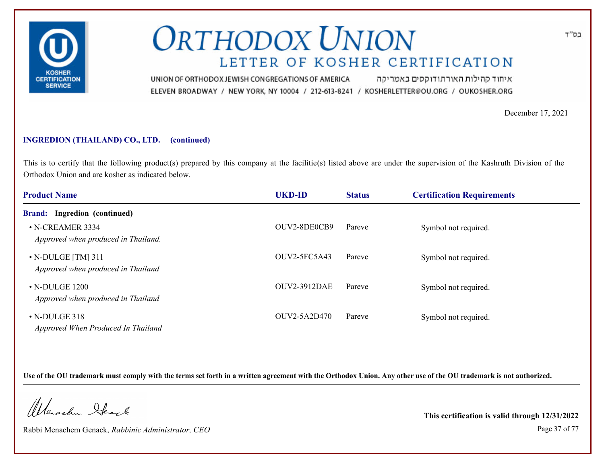

איחוד קהילות האורתודוקסים באמריקה UNION OF ORTHODOX JEWISH CONGREGATIONS OF AMERICA ELEVEN BROADWAY / NEW YORK, NY 10004 / 212-613-8241 / KOSHERLETTER@OU.ORG / OUKOSHER.ORG

December 17, 2021

### **INGREDION (THAILAND) CO., LTD. (continued)**

This is to certify that the following product(s) prepared by this company at the facilitie(s) listed above are under the supervision of the Kashruth Division of the Orthodox Union and are kosher as indicated below.

| <b>Product Name</b>                                            | <b>UKD-ID</b>       | <b>Status</b> | <b>Certification Requirements</b> |  |
|----------------------------------------------------------------|---------------------|---------------|-----------------------------------|--|
| <b>Brand:</b> Ingredion (continued)                            |                     |               |                                   |  |
| • N-CREAMER 3334<br>Approved when produced in Thailand.        | OUV2-8DE0CB9        | Pareve        | Symbol not required.              |  |
| $\cdot$ N-DULGE [TM] 311<br>Approved when produced in Thailand | $OUV2-5FC5A43$      | Pareve        | Symbol not required.              |  |
| $\cdot$ N-DULGE 1200<br>Approved when produced in Thailand     | <b>OUV2-3912DAE</b> | Pareve        | Symbol not required.              |  |
| $\cdot$ N-DULGE 318<br>Approved When Produced In Thailand      | OUV2-5A2D470        | Pareve        | Symbol not required.              |  |

**Use of the OU trademark must comply with the terms set forth in a written agreement with the Orthodox Union. Any other use of the OU trademark is not authorized.**

Werschn Stack

Rabbi Menachem Genack, *Rabbinic Administrator, CEO* Page 37 of 77

**This certification is valid through 12/31/2022**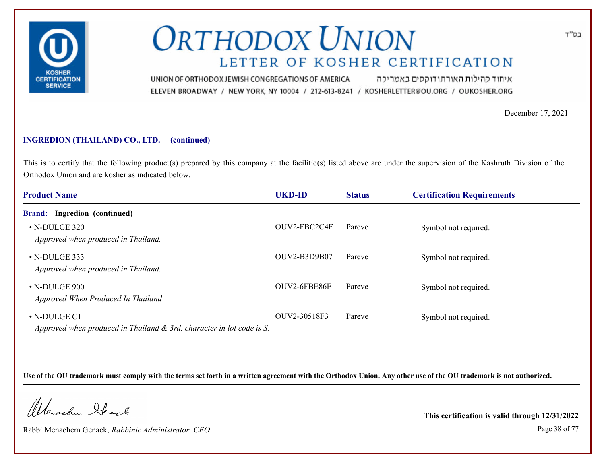

איחוד קהילות האורתודוקסים באמריקה UNION OF ORTHODOX JEWISH CONGREGATIONS OF AMERICA ELEVEN BROADWAY / NEW YORK, NY 10004 / 212-613-8241 / KOSHERLETTER@OU.ORG / OUKOSHER.ORG

December 17, 2021

### **INGREDION (THAILAND) CO., LTD. (continued)**

This is to certify that the following product(s) prepared by this company at the facilitie(s) listed above are under the supervision of the Kashruth Division of the Orthodox Union and are kosher as indicated below.

| <b>Product Name</b>                                                                            | <b>UKD-ID</b> | <b>Status</b> | <b>Certification Requirements</b> |
|------------------------------------------------------------------------------------------------|---------------|---------------|-----------------------------------|
| <b>Brand:</b> Ingredion (continued)                                                            |               |               |                                   |
| $\cdot$ N-DULGE 320<br>Approved when produced in Thailand.                                     | OUV2-FBC2C4F  | Pareve        | Symbol not required.              |
| $\cdot$ N-DULGE 333<br>Approved when produced in Thailand.                                     | OUV2-B3D9B07  | Pareve        | Symbol not required.              |
| $\cdot$ N-DULGE 900<br>Approved When Produced In Thailand                                      | OUV2-6FBE86E  | Pareve        | Symbol not required.              |
| $\cdot$ N-DULGE C1<br>Approved when produced in Thailand $\&$ 3rd. character in lot code is S. | OUV2-30518F3  | Pareve        | Symbol not required.              |

**Use of the OU trademark must comply with the terms set forth in a written agreement with the Orthodox Union. Any other use of the OU trademark is not authorized.**

Werschn Stack

Rabbi Menachem Genack, *Rabbinic Administrator, CEO* Page 38 of 77

**This certification is valid through 12/31/2022**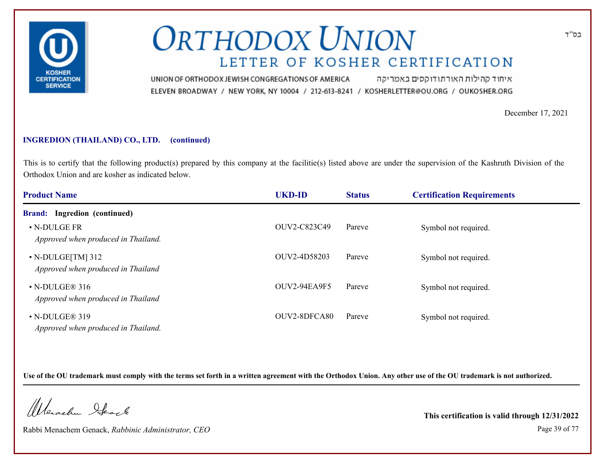

איחוד קהילות האורתודוקסים באמריקה UNION OF ORTHODOX JEWISH CONGREGATIONS OF AMERICA ELEVEN BROADWAY / NEW YORK, NY 10004 / 212-613-8241 / KOSHERLETTER@OU.ORG / OUKOSHER.ORG

December 17, 2021

### **INGREDION (THAILAND) CO., LTD. (continued)**

This is to certify that the following product(s) prepared by this company at the facilitie(s) listed above are under the supervision of the Kashruth Division of the Orthodox Union and are kosher as indicated below.

| <b>Product Name</b>                                           | <b>UKD-ID</b>  | <b>Status</b> | <b>Certification Requirements</b> |  |
|---------------------------------------------------------------|----------------|---------------|-----------------------------------|--|
| <b>Brand:</b> Ingredion (continued)                           |                |               |                                   |  |
| • N-DULGE FR<br>Approved when produced in Thailand.           | OUV2-C823C49   | Pareve        | Symbol not required.              |  |
| $\cdot$ N-DULGE[TM] 312<br>Approved when produced in Thailand | OUV2-4D58203   | Pareve        | Symbol not required.              |  |
| $\cdot$ N-DULGE® 316<br>Approved when produced in Thailand    | $OUV2-94EA9F5$ | Pareve        | Symbol not required.              |  |
| $\cdot$ N-DULGE® 319<br>Approved when produced in Thailand.   | OUV2-8DFCA80   | Pareve        | Symbol not required.              |  |

**Use of the OU trademark must comply with the terms set forth in a written agreement with the Orthodox Union. Any other use of the OU trademark is not authorized.**

Werschn Stack

Rabbi Menachem Genack, *Rabbinic Administrator, CEO* Page 39 of 77

**This certification is valid through 12/31/2022**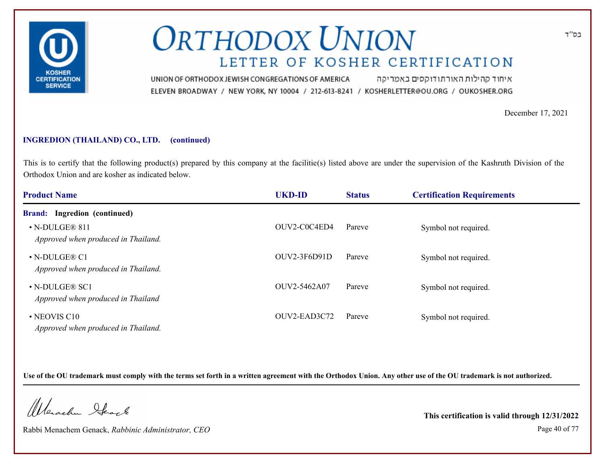

איחוד קהילות האורתודוקסים באמריקה UNION OF ORTHODOX JEWISH CONGREGATIONS OF AMERICA ELEVEN BROADWAY / NEW YORK, NY 10004 / 212-613-8241 / KOSHERLETTER@OU.ORG / OUKOSHER.ORG

December 17, 2021

### **INGREDION (THAILAND) CO., LTD. (continued)**

This is to certify that the following product(s) prepared by this company at the facilitie(s) listed above are under the supervision of the Kashruth Division of the Orthodox Union and are kosher as indicated below.

| <b>Product Name</b>                                         | <b>UKD-ID</b>  | <b>Status</b> | <b>Certification Requirements</b> |  |
|-------------------------------------------------------------|----------------|---------------|-----------------------------------|--|
| <b>Brand:</b> Ingredion (continued)                         |                |               |                                   |  |
| $\cdot$ N-DULGE® 811<br>Approved when produced in Thailand. | OUV2-C0C4ED4   | Pareve        | Symbol not required.              |  |
| • N-DULGE® C1<br>Approved when produced in Thailand.        | $OUV2-3F6D91D$ | Pareve        | Symbol not required.              |  |
| $\cdot$ N-DULGE® SC1<br>Approved when produced in Thailand  | OUV2-5462A07   | Pareve        | Symbol not required.              |  |
| • NEOVIS C10<br>Approved when produced in Thailand.         | OUV2-EAD3C72   | Pareve        | Symbol not required.              |  |

**Use of the OU trademark must comply with the terms set forth in a written agreement with the Orthodox Union. Any other use of the OU trademark is not authorized.**

Werschn Stack

Rabbi Menachem Genack, *Rabbinic Administrator, CEO* Page 40 of 77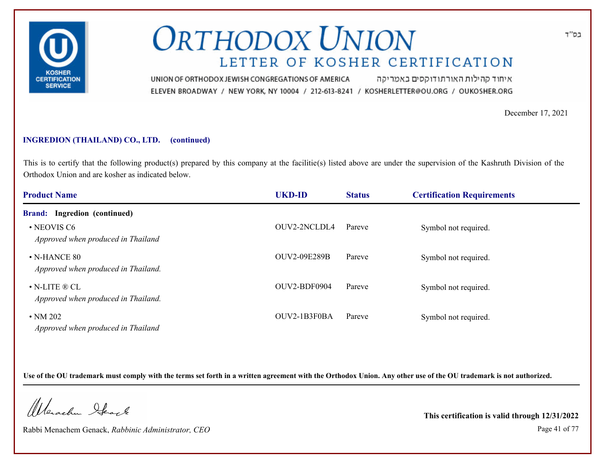

איחוד קהילות האורתודוקסים באמריקה UNION OF ORTHODOX JEWISH CONGREGATIONS OF AMERICA ELEVEN BROADWAY / NEW YORK, NY 10004 / 212-613-8241 / KOSHERLETTER@OU.ORG / OUKOSHER.ORG

December 17, 2021

### **INGREDION (THAILAND) CO., LTD. (continued)**

This is to certify that the following product(s) prepared by this company at the facilitie(s) listed above are under the supervision of the Kashruth Division of the Orthodox Union and are kosher as indicated below.

| <b>Product Name</b>                                                    | <b>UKD-ID</b>       | <b>Status</b> | <b>Certification Requirements</b> |  |
|------------------------------------------------------------------------|---------------------|---------------|-----------------------------------|--|
| <b>Brand:</b> Ingredion (continued)                                    |                     |               |                                   |  |
| • NEOVIS C6<br>Approved when produced in Thailand                      | OUV2-2NCLDL4        | Pareve        | Symbol not required.              |  |
| $\cdot$ N-HANCE 80<br>Approved when produced in Thailand.              | <b>OUV2-09E289B</b> | Pareve        | Symbol not required.              |  |
| $\bullet$ N-LITE $\circledR$ CL<br>Approved when produced in Thailand. | OUV2-BDF0904        | Pareve        | Symbol not required.              |  |
| $\cdot$ NM 202<br>Approved when produced in Thailand                   | OUV2-1B3F0BA        | Pareve        | Symbol not required.              |  |

**Use of the OU trademark must comply with the terms set forth in a written agreement with the Orthodox Union. Any other use of the OU trademark is not authorized.**

Werschn Stack

Rabbi Menachem Genack, *Rabbinic Administrator, CEO* Page 41 of 77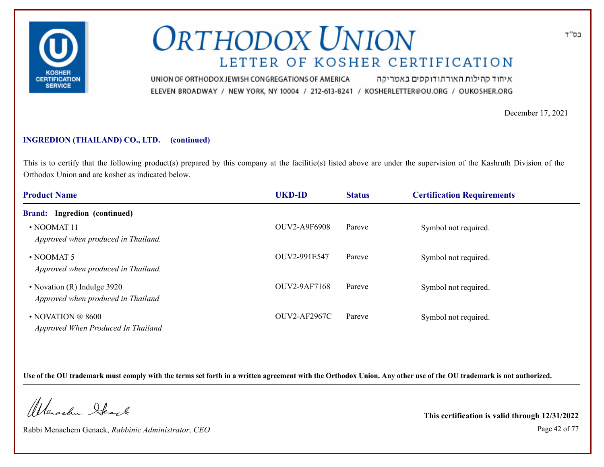

איחוד קהילות האורתודוקסים באמריקה UNION OF ORTHODOX JEWISH CONGREGATIONS OF AMERICA ELEVEN BROADWAY / NEW YORK, NY 10004 / 212-613-8241 / KOSHERLETTER@OU.ORG / OUKOSHER.ORG

December 17, 2021

### **INGREDION (THAILAND) CO., LTD. (continued)**

This is to certify that the following product(s) prepared by this company at the facilitie(s) listed above are under the supervision of the Kashruth Division of the Orthodox Union and are kosher as indicated below.

| <b>Product Name</b>                                               | <b>UKD-ID</b>       | <b>Status</b> | <b>Certification Requirements</b> |  |
|-------------------------------------------------------------------|---------------------|---------------|-----------------------------------|--|
| <b>Brand:</b> Ingredion (continued)                               |                     |               |                                   |  |
| $\cdot$ NOOMAT 11<br>Approved when produced in Thailand.          | <b>OUV2-A9F6908</b> | Pareve        | Symbol not required.              |  |
| $\cdot$ NOOMAT 5<br>Approved when produced in Thailand.           | OUV2-991E547        | Pareve        | Symbol not required.              |  |
| • Novation (R) Indulge 3920<br>Approved when produced in Thailand | <b>OUV2-9AF7168</b> | Pareve        | Symbol not required.              |  |
| $\cdot$ NOVATION ® 8600<br>Approved When Produced In Thailand     | <b>OUV2-AF2967C</b> | Pareve        | Symbol not required.              |  |

**Use of the OU trademark must comply with the terms set forth in a written agreement with the Orthodox Union. Any other use of the OU trademark is not authorized.**

Werschn Stack

Rabbi Menachem Genack, *Rabbinic Administrator, CEO* Page 42 of 77

**This certification is valid through 12/31/2022**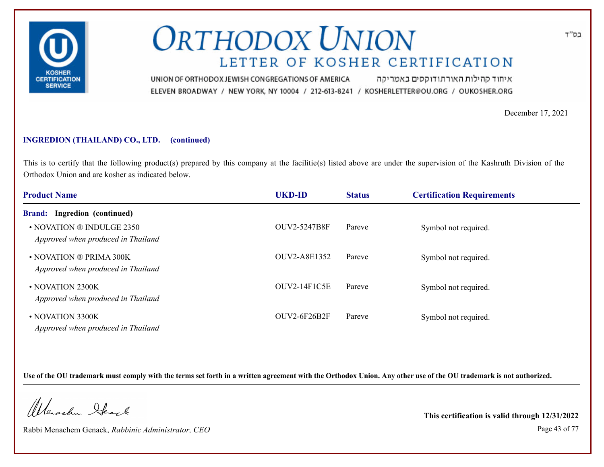

איחוד קהילות האורתודוקסים באמריקה UNION OF ORTHODOX JEWISH CONGREGATIONS OF AMERICA ELEVEN BROADWAY / NEW YORK, NY 10004 / 212-613-8241 / KOSHERLETTER@OU.ORG / OUKOSHER.ORG

December 17, 2021

### **INGREDION (THAILAND) CO., LTD. (continued)**

This is to certify that the following product(s) prepared by this company at the facilitie(s) listed above are under the supervision of the Kashruth Division of the Orthodox Union and are kosher as indicated below.

| <b>Product Name</b>                                             | <b>UKD-ID</b>       | <b>Status</b> | <b>Certification Requirements</b> |  |
|-----------------------------------------------------------------|---------------------|---------------|-----------------------------------|--|
| Ingredion (continued)<br><b>Brand:</b>                          |                     |               |                                   |  |
| • NOVATION ® INDULGE 2350<br>Approved when produced in Thailand | <b>OUV2-5247B8F</b> | Pareve        | Symbol not required.              |  |
| • NOVATION ® PRIMA 300K<br>Approved when produced in Thailand   | OUV2-A8E1352        | Pareve        | Symbol not required.              |  |
| • NOVATION 2300K<br>Approved when produced in Thailand          | $OUV2-14F1C5E$      | Pareve        | Symbol not required.              |  |
| • NOVATION 3300K<br>Approved when produced in Thailand          | <b>OUV2-6F26B2F</b> | Pareve        | Symbol not required.              |  |

**Use of the OU trademark must comply with the terms set forth in a written agreement with the Orthodox Union. Any other use of the OU trademark is not authorized.**

Werschn Stack

Rabbi Menachem Genack, *Rabbinic Administrator, CEO* Page 43 of 77

**This certification is valid through 12/31/2022**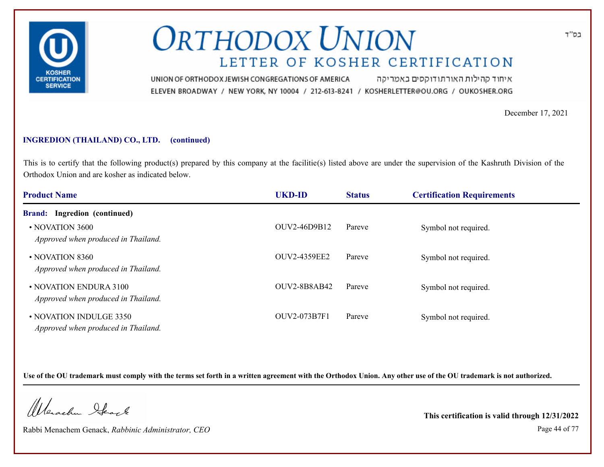

איחוד קהילות האורתודוקסים באמריקה UNION OF ORTHODOX JEWISH CONGREGATIONS OF AMERICA ELEVEN BROADWAY / NEW YORK, NY 10004 / 212-613-8241 / KOSHERLETTER@OU.ORG / OUKOSHER.ORG

December 17, 2021

### **INGREDION (THAILAND) CO., LTD. (continued)**

This is to certify that the following product(s) prepared by this company at the facilitie(s) listed above are under the supervision of the Kashruth Division of the Orthodox Union and are kosher as indicated below.

| <b>Product Name</b>                                            | <b>UKD-ID</b>       | <b>Status</b> | <b>Certification Requirements</b> |  |
|----------------------------------------------------------------|---------------------|---------------|-----------------------------------|--|
| Ingredion (continued)<br><b>Brand:</b>                         |                     |               |                                   |  |
| • NOVATION 3600<br>Approved when produced in Thailand.         | OUV2-46D9B12        | Pareve        | Symbol not required.              |  |
| • NOVATION 8360<br>Approved when produced in Thailand.         | OUV2-4359EE2        | Pareve        | Symbol not required.              |  |
| • NOVATION ENDURA 3100<br>Approved when produced in Thailand.  | <b>OUV2-8B8AB42</b> | Pareve        | Symbol not required.              |  |
| • NOVATION INDULGE 3350<br>Approved when produced in Thailand. | <b>OUV2-073B7F1</b> | Pareve        | Symbol not required.              |  |

**Use of the OU trademark must comply with the terms set forth in a written agreement with the Orthodox Union. Any other use of the OU trademark is not authorized.**

Werschn Stack

Rabbi Menachem Genack, *Rabbinic Administrator, CEO* Page 44 of 77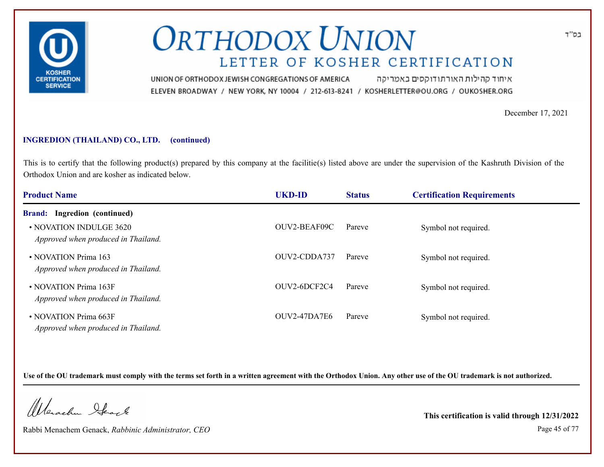

איחוד קהילות האורתודוקסים באמריקה UNION OF ORTHODOX JEWISH CONGREGATIONS OF AMERICA ELEVEN BROADWAY / NEW YORK, NY 10004 / 212-613-8241 / KOSHERLETTER@OU.ORG / OUKOSHER.ORG

December 17, 2021

### **INGREDION (THAILAND) CO., LTD. (continued)**

This is to certify that the following product(s) prepared by this company at the facilitie(s) listed above are under the supervision of the Kashruth Division of the Orthodox Union and are kosher as indicated below.

| <b>Product Name</b>                                            | <b>UKD-ID</b>       | <b>Status</b> | <b>Certification Requirements</b> |  |
|----------------------------------------------------------------|---------------------|---------------|-----------------------------------|--|
| Ingredion (continued)<br><b>Brand:</b>                         |                     |               |                                   |  |
| • NOVATION INDULGE 3620<br>Approved when produced in Thailand. | OUV2-BEAF09C        | Pareve        | Symbol not required.              |  |
| • NOVATION Prima 163<br>Approved when produced in Thailand.    | OUV2-CDDA737        | Pareve        | Symbol not required.              |  |
| • NOVATION Prima 163F<br>Approved when produced in Thailand.   | OUV2-6DCF2C4        | Pareve        | Symbol not required.              |  |
| • NOVATION Prima 663F<br>Approved when produced in Thailand.   | <b>OUV2-47DA7E6</b> | Pareve        | Symbol not required.              |  |

**Use of the OU trademark must comply with the terms set forth in a written agreement with the Orthodox Union. Any other use of the OU trademark is not authorized.**

Werschn Stack

Rabbi Menachem Genack, *Rabbinic Administrator, CEO* Page 45 of 77

**This certification is valid through 12/31/2022**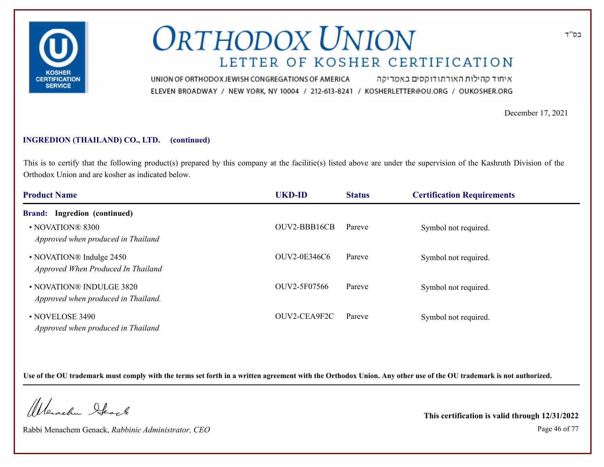

איחוד קהילות האורתודוקסים באמריקה UNION OF ORTHODOX JEWISH CONGREGATIONS OF AMERICA ELEVEN BROADWAY / NEW YORK, NY 10004 / 212-613-8241 / KOSHERLETTER@OU.ORG / OUKOSHER.ORG

December 17, 2021

### **INGREDION (THAILAND) CO., LTD. (continued)**

This is to certify that the following product(s) prepared by this company at the facilitie(s) listed above are under the supervision of the Kashruth Division of the Orthodox Union and are kosher as indicated below.

| <b>Product Name</b>                                             | <b>UKD-ID</b> | <b>Status</b> | <b>Certification Requirements</b> |  |
|-----------------------------------------------------------------|---------------|---------------|-----------------------------------|--|
| <b>Brand:</b> Ingredion (continued)                             |               |               |                                   |  |
| • NOVATION® 8300<br>Approved when produced in Thailand          | OUV2-BBB16CB  | Pareve        | Symbol not required.              |  |
| • NOVATION® Indulge 2450<br>Approved When Produced In Thailand  | OUV2-0E346C6  | Pareve        | Symbol not required.              |  |
| • NOVATION® INDULGE 3820<br>Approved when produced in Thailand. | OUV2-5F07566  | Pareve        | Symbol not required.              |  |
| • NOVELOSE 3490<br>Approved when produced in Thailand           | OUV2-CEA9F2C  | Pareve        | Symbol not required.              |  |

**Use of the OU trademark must comply with the terms set forth in a written agreement with the Orthodox Union. Any other use of the OU trademark is not authorized.**

Werschn Stack

Rabbi Menachem Genack, *Rabbinic Administrator, CEO* Page 46 of 77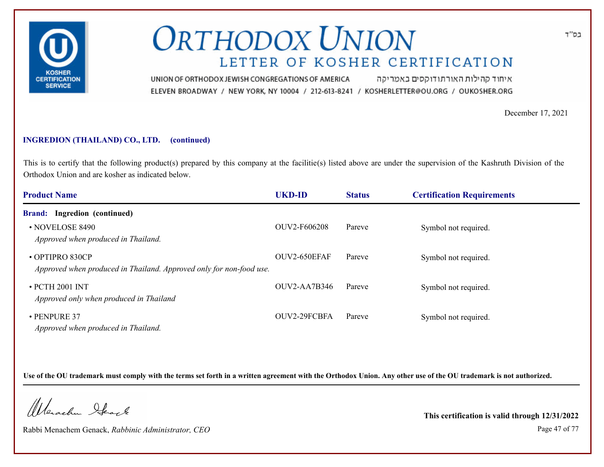

איחוד קהילות האורתודוקסים באמריקה UNION OF ORTHODOX JEWISH CONGREGATIONS OF AMERICA ELEVEN BROADWAY / NEW YORK, NY 10004 / 212-613-8241 / KOSHERLETTER@OU.ORG / OUKOSHER.ORG

December 17, 2021

### **INGREDION (THAILAND) CO., LTD. (continued)**

This is to certify that the following product(s) prepared by this company at the facilitie(s) listed above are under the supervision of the Kashruth Division of the Orthodox Union and are kosher as indicated below.

| <b>Product Name</b>                                                                    | <b>UKD-ID</b>       | <b>Status</b> | <b>Certification Requirements</b> |  |
|----------------------------------------------------------------------------------------|---------------------|---------------|-----------------------------------|--|
| Ingredion (continued)<br><b>Brand:</b>                                                 |                     |               |                                   |  |
| • NOVELOSE 8490<br>Approved when produced in Thailand.                                 | OUV2-F606208        | Pareve        | Symbol not required.              |  |
| • OPTIPRO 830CP<br>Approved when produced in Thailand. Approved only for non-food use. | OUV2-650EFAF        | Pareve        | Symbol not required.              |  |
| • PCTH 2001 INT<br>Approved only when produced in Thailand                             | <b>OUV2-AA7B346</b> | Pareve        | Symbol not required.              |  |
| $\cdot$ PENPURE 37<br>Approved when produced in Thailand.                              | OUV2-29FCBFA        | Pareve        | Symbol not required.              |  |

**Use of the OU trademark must comply with the terms set forth in a written agreement with the Orthodox Union. Any other use of the OU trademark is not authorized.**

Werschn Stack

Rabbi Menachem Genack, *Rabbinic Administrator, CEO* Page 47 of 77

**This certification is valid through 12/31/2022**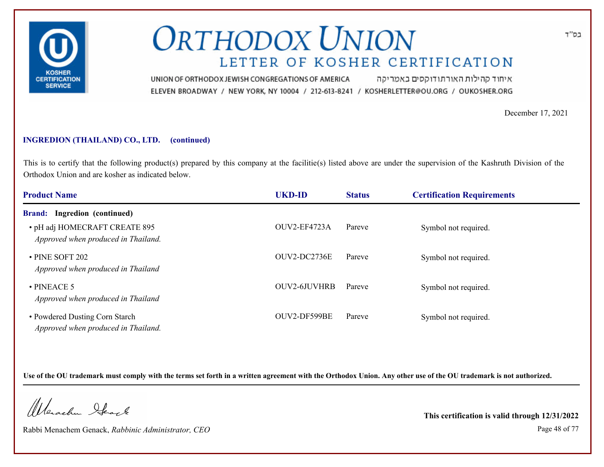

איחוד קהילות האורתודוקסים באמריקה UNION OF ORTHODOX JEWISH CONGREGATIONS OF AMERICA ELEVEN BROADWAY / NEW YORK, NY 10004 / 212-613-8241 / KOSHERLETTER@OU.ORG / OUKOSHER.ORG

December 17, 2021

### **INGREDION (THAILAND) CO., LTD. (continued)**

This is to certify that the following product(s) prepared by this company at the facilitie(s) listed above are under the supervision of the Kashruth Division of the Orthodox Union and are kosher as indicated below.

| <b>Product Name</b>                                                   | <b>UKD-ID</b>       | <b>Status</b> | <b>Certification Requirements</b> |  |
|-----------------------------------------------------------------------|---------------------|---------------|-----------------------------------|--|
| Ingredion (continued)<br><b>Brand:</b>                                |                     |               |                                   |  |
| • pH adj HOMECRAFT CREATE 895<br>Approved when produced in Thailand.  | OUV2-EF4723A        | Pareve        | Symbol not required.              |  |
| • PINE SOFT 202<br>Approved when produced in Thailand                 | OUV2-DC2736E        | Pareve        | Symbol not required.              |  |
| $\cdot$ PINEACE 5<br>Approved when produced in Thailand               | <b>OUV2-6JUVHRB</b> | Pareve        | Symbol not required.              |  |
| • Powdered Dusting Corn Starch<br>Approved when produced in Thailand. | OUV2-DF599BE        | Pareve        | Symbol not required.              |  |

**Use of the OU trademark must comply with the terms set forth in a written agreement with the Orthodox Union. Any other use of the OU trademark is not authorized.**

Werschn Stack

Rabbi Menachem Genack, *Rabbinic Administrator, CEO* Page 48 of 77

**This certification is valid through 12/31/2022**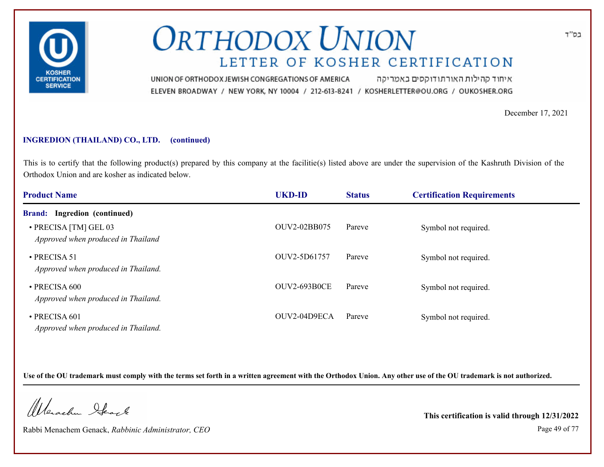

איחוד קהילות האורתודוקסים באמריקה UNION OF ORTHODOX JEWISH CONGREGATIONS OF AMERICA ELEVEN BROADWAY / NEW YORK, NY 10004 / 212-613-8241 / KOSHERLETTER@OU.ORG / OUKOSHER.ORG

December 17, 2021

### **INGREDION (THAILAND) CO., LTD. (continued)**

This is to certify that the following product(s) prepared by this company at the facilitie(s) listed above are under the supervision of the Kashruth Division of the Orthodox Union and are kosher as indicated below.

| <b>Product Name</b>                                         | <b>UKD-ID</b>       | <b>Status</b> | <b>Certification Requirements</b> |  |
|-------------------------------------------------------------|---------------------|---------------|-----------------------------------|--|
| Ingredion (continued)<br><b>Brand:</b>                      |                     |               |                                   |  |
| • PRECISA [TM] GEL 03<br>Approved when produced in Thailand | OUV2-02BB075        | Pareve        | Symbol not required.              |  |
| $\cdot$ PRECISA 51<br>Approved when produced in Thailand.   | OUV2-5D61757        | Pareve        | Symbol not required.              |  |
| $\cdot$ PRECISA 600<br>Approved when produced in Thailand.  | <b>OUV2-693B0CE</b> | Pareve        | Symbol not required.              |  |
| · PRECISA 601<br>Approved when produced in Thailand.        | OUV2-04D9ECA        | Pareve        | Symbol not required.              |  |

**Use of the OU trademark must comply with the terms set forth in a written agreement with the Orthodox Union. Any other use of the OU trademark is not authorized.**

Werschn Stack

Rabbi Menachem Genack, *Rabbinic Administrator, CEO* Page 49 of 77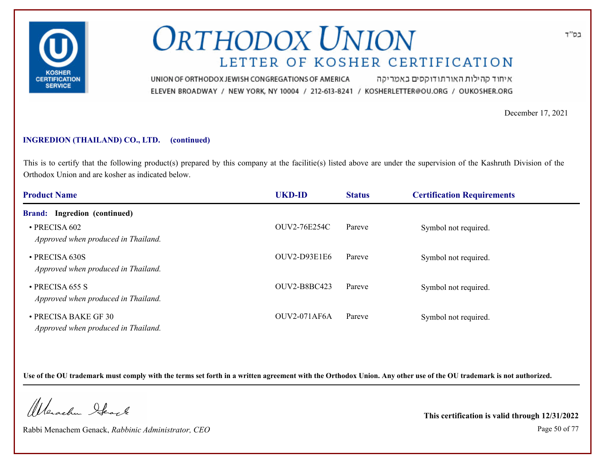

איחוד קהילות האורתודוקסים באמריקה UNION OF ORTHODOX JEWISH CONGREGATIONS OF AMERICA ELEVEN BROADWAY / NEW YORK, NY 10004 / 212-613-8241 / KOSHERLETTER@OU.ORG / OUKOSHER.ORG

December 17, 2021

### **INGREDION (THAILAND) CO., LTD. (continued)**

This is to certify that the following product(s) prepared by this company at the facilitie(s) listed above are under the supervision of the Kashruth Division of the Orthodox Union and are kosher as indicated below.

| <b>Product Name</b>                                          | <b>UKD-ID</b>       | <b>Status</b> | <b>Certification Requirements</b> |  |
|--------------------------------------------------------------|---------------------|---------------|-----------------------------------|--|
| <b>Brand:</b> Ingredion (continued)                          |                     |               |                                   |  |
| $\cdot$ PRECISA 602<br>Approved when produced in Thailand.   | <b>OUV2-76E254C</b> | Pareve        | Symbol not required.              |  |
| • PRECISA 630S<br>Approved when produced in Thailand.        | <b>OUV2-D93E1E6</b> | Pareve        | Symbol not required.              |  |
| $\cdot$ PRECISA 655 S<br>Approved when produced in Thailand. | OUV2-B8BC423        | Pareve        | Symbol not required.              |  |
| • PRECISA BAKE GF 30<br>Approved when produced in Thailand.  | <b>OUV2-071AF6A</b> | Pareve        | Symbol not required.              |  |

**Use of the OU trademark must comply with the terms set forth in a written agreement with the Orthodox Union. Any other use of the OU trademark is not authorized.**

Werschn Stack

Rabbi Menachem Genack, *Rabbinic Administrator, CEO* Page 50 of 77

**This certification is valid through 12/31/2022**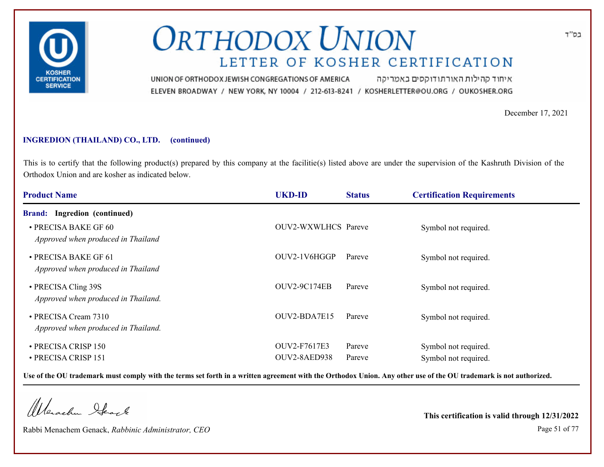

איחוד קהילות האורתודוקסים באמריקה UNION OF ORTHODOX JEWISH CONGREGATIONS OF AMERICA ELEVEN BROADWAY / NEW YORK, NY 10004 / 212-613-8241 / KOSHERLETTER@OU.ORG / OUKOSHER.ORG

December 17, 2021

### **INGREDION (THAILAND) CO., LTD. (continued)**

This is to certify that the following product(s) prepared by this company at the facilitie(s) listed above are under the supervision of the Kashruth Division of the Orthodox Union and are kosher as indicated below.

| <b>Product Name</b>                                         | <b>UKD-ID</b>                | <b>Status</b>    | <b>Certification Requirements</b>            |
|-------------------------------------------------------------|------------------------------|------------------|----------------------------------------------|
| Ingredion (continued)<br><b>Brand:</b>                      |                              |                  |                                              |
| • PRECISA BAKE GF 60<br>Approved when produced in Thailand  | <b>OUV2-WXWLHCS</b> Pareve   |                  | Symbol not required.                         |
| • PRECISA BAKE GF 61<br>Approved when produced in Thailand  | OUV2-1V6HGGP                 | Pareve           | Symbol not required.                         |
| • PRECISA Cling 39S<br>Approved when produced in Thailand.  | <b>OUV2-9C174EB</b>          | Pareve           | Symbol not required.                         |
| • PRECISA Cream 7310<br>Approved when produced in Thailand. | $OUV2-BDA7E15$               | Pareve           | Symbol not required.                         |
| • PRECISA CRISP 150<br>• PRECISA CRISP 151                  | OUV2-F7617E3<br>OUV2-8AED938 | Pareve<br>Pareve | Symbol not required.<br>Symbol not required. |

**Use of the OU trademark must comply with the terms set forth in a written agreement with the Orthodox Union. Any other use of the OU trademark is not authorized.**

Werschn Stack

Rabbi Menachem Genack, *Rabbinic Administrator, CEO* Page 51 of 77

**This certification is valid through 12/31/2022**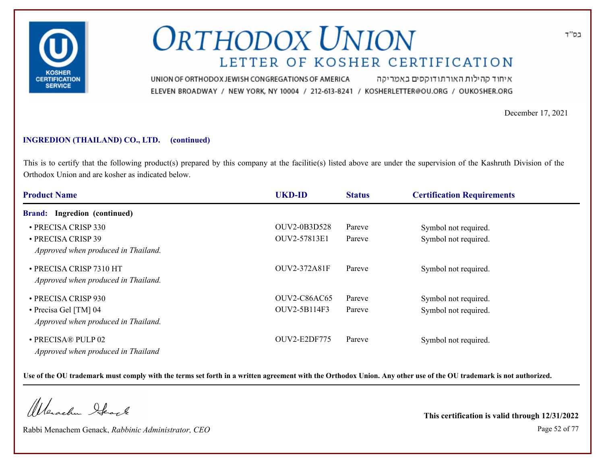

איחוד קהילות האורתודוקסים באמריקה UNION OF ORTHODOX JEWISH CONGREGATIONS OF AMERICA ELEVEN BROADWAY / NEW YORK, NY 10004 / 212-613-8241 / KOSHERLETTER@OU.ORG / OUKOSHER.ORG

December 17, 2021

### **INGREDION (THAILAND) CO., LTD. (continued)**

This is to certify that the following product(s) prepared by this company at the facilitie(s) listed above are under the supervision of the Kashruth Division of the Orthodox Union and are kosher as indicated below.

| <b>Product Name</b>                 | <b>UKD-ID</b>       | <b>Status</b> | <b>Certification Requirements</b> |  |
|-------------------------------------|---------------------|---------------|-----------------------------------|--|
| <b>Brand:</b> Ingredion (continued) |                     |               |                                   |  |
| • PRECISA CRISP 330                 | OUV2-0B3D528        | Pareve        | Symbol not required.              |  |
| • PRECISA CRISP 39                  | OUV2-57813E1        | Pareve        | Symbol not required.              |  |
| Approved when produced in Thailand. |                     |               |                                   |  |
| • PRECISA CRISP 7310 HT             | OUV2-372A81F        | Pareve        | Symbol not required.              |  |
| Approved when produced in Thailand. |                     |               |                                   |  |
| • PRECISA CRISP 930                 | <b>OUV2-C86AC65</b> | Pareve        | Symbol not required.              |  |
| • Precisa Gel [TM] 04               | OUV2-5B114F3        | Pareve        | Symbol not required.              |  |
| Approved when produced in Thailand. |                     |               |                                   |  |
| • PRECISA® PULP 02                  | <b>OUV2-E2DF775</b> | Pareve        | Symbol not required.              |  |
| Approved when produced in Thailand  |                     |               |                                   |  |

**Use of the OU trademark must comply with the terms set forth in a written agreement with the Orthodox Union. Any other use of the OU trademark is not authorized.**

Werschn Stack

Rabbi Menachem Genack, *Rabbinic Administrator, CEO* Page 52 of 77

**This certification is valid through 12/31/2022**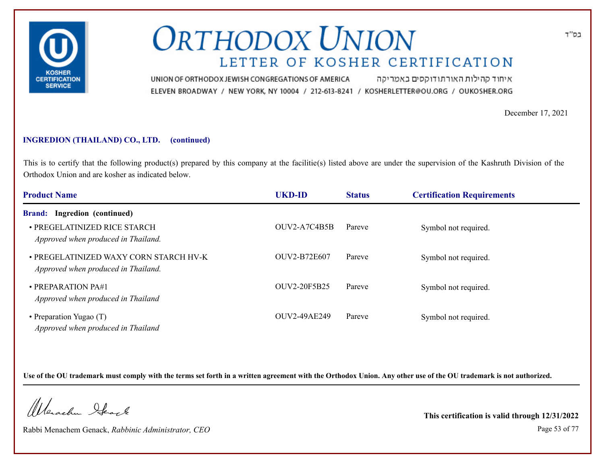

איחוד קהילות האורתודוקסים באמריקה UNION OF ORTHODOX JEWISH CONGREGATIONS OF AMERICA ELEVEN BROADWAY / NEW YORK, NY 10004 / 212-613-8241 / KOSHERLETTER@OU.ORG / OUKOSHER.ORG

December 17, 2021

### **INGREDION (THAILAND) CO., LTD. (continued)**

This is to certify that the following product(s) prepared by this company at the facilitie(s) listed above are under the supervision of the Kashruth Division of the Orthodox Union and are kosher as indicated below.

| <b>Product Name</b>                                                           | <b>UKD-ID</b>       | <b>Status</b> | <b>Certification Requirements</b> |  |
|-------------------------------------------------------------------------------|---------------------|---------------|-----------------------------------|--|
| Ingredion (continued)<br><b>Brand:</b>                                        |                     |               |                                   |  |
| • PREGELATINIZED RICE STARCH<br>Approved when produced in Thailand.           | OUV2-A7C4B5B        | Pareve        | Symbol not required.              |  |
| • PREGELATINIZED WAXY CORN STARCH HV-K<br>Approved when produced in Thailand. | OUV2-B72E607        | Pareve        | Symbol not required.              |  |
| $\cdot$ PREPARATION PA#1<br>Approved when produced in Thailand                | <b>OUV2-20F5B25</b> | Pareve        | Symbol not required.              |  |
| • Preparation Yugao (T)<br>Approved when produced in Thailand                 | OUV2-49AE249        | Pareve        | Symbol not required.              |  |

**Use of the OU trademark must comply with the terms set forth in a written agreement with the Orthodox Union. Any other use of the OU trademark is not authorized.**

Werschn Stack

Rabbi Menachem Genack, *Rabbinic Administrator, CEO* Page 53 of 77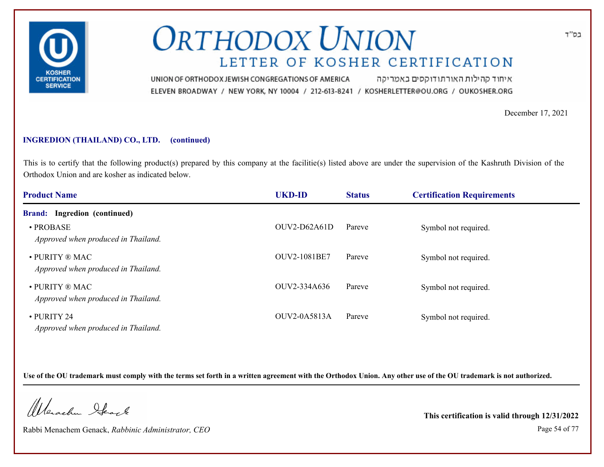

איחוד קהילות האורתודוקסים באמריקה UNION OF ORTHODOX JEWISH CONGREGATIONS OF AMERICA ELEVEN BROADWAY / NEW YORK, NY 10004 / 212-613-8241 / KOSHERLETTER@OU.ORG / OUKOSHER.ORG

December 17, 2021

### **INGREDION (THAILAND) CO., LTD. (continued)**

This is to certify that the following product(s) prepared by this company at the facilitie(s) listed above are under the supervision of the Kashruth Division of the Orthodox Union and are kosher as indicated below.

| <b>Product Name</b>                                                     | <b>UKD-ID</b>       | <b>Status</b> | <b>Certification Requirements</b> |  |
|-------------------------------------------------------------------------|---------------------|---------------|-----------------------------------|--|
| <b>Brand:</b> Ingredion (continued)                                     |                     |               |                                   |  |
| • PROBASE<br>Approved when produced in Thailand.                        | $OUV2-D62A61D$      | Pareve        | Symbol not required.              |  |
| • PURITY ® MAC<br>Approved when produced in Thailand.                   | OUV2-1081BE7        | Pareve        | Symbol not required.              |  |
| $\bullet$ PURITY $\circledR$ MAC<br>Approved when produced in Thailand. | OUV2-334A636        | Pareve        | Symbol not required.              |  |
| • PURITY 24<br>Approved when produced in Thailand.                      | <b>OUV2-0A5813A</b> | Pareve        | Symbol not required.              |  |

**Use of the OU trademark must comply with the terms set forth in a written agreement with the Orthodox Union. Any other use of the OU trademark is not authorized.**

Werschn Stack

Rabbi Menachem Genack, *Rabbinic Administrator, CEO* Page 54 of 77

**This certification is valid through 12/31/2022**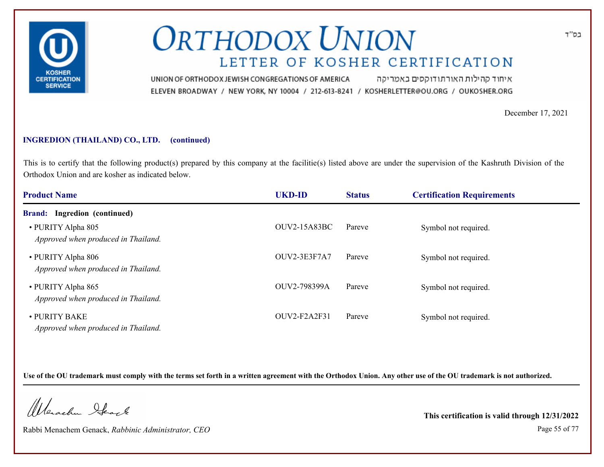

איחוד קהילות האורתודוקסים באמריקה UNION OF ORTHODOX JEWISH CONGREGATIONS OF AMERICA ELEVEN BROADWAY / NEW YORK, NY 10004 / 212-613-8241 / KOSHERLETTER@OU.ORG / OUKOSHER.ORG

December 17, 2021

### **INGREDION (THAILAND) CO., LTD. (continued)**

This is to certify that the following product(s) prepared by this company at the facilitie(s) listed above are under the supervision of the Kashruth Division of the Orthodox Union and are kosher as indicated below.

| <b>Product Name</b>                                       | <b>UKD-ID</b>       | <b>Status</b> | <b>Certification Requirements</b> |  |
|-----------------------------------------------------------|---------------------|---------------|-----------------------------------|--|
| <b>Brand:</b> Ingredion (continued)                       |                     |               |                                   |  |
| • PURITY Alpha 805<br>Approved when produced in Thailand. | <b>OUV2-15A83BC</b> | Pareve        | Symbol not required.              |  |
| • PURITY Alpha 806<br>Approved when produced in Thailand. | OUV2-3E3F7A7        | Pareve        | Symbol not required.              |  |
| • PURITY Alpha 865<br>Approved when produced in Thailand. | OUV2-798399A        | Pareve        | Symbol not required.              |  |
| • PURITY BAKE<br>Approved when produced in Thailand.      | OUV2-F2A2F31        | Pareve        | Symbol not required.              |  |

**Use of the OU trademark must comply with the terms set forth in a written agreement with the Orthodox Union. Any other use of the OU trademark is not authorized.**

Werschn Stack

Rabbi Menachem Genack, *Rabbinic Administrator, CEO* Page 55 of 77

**This certification is valid through 12/31/2022**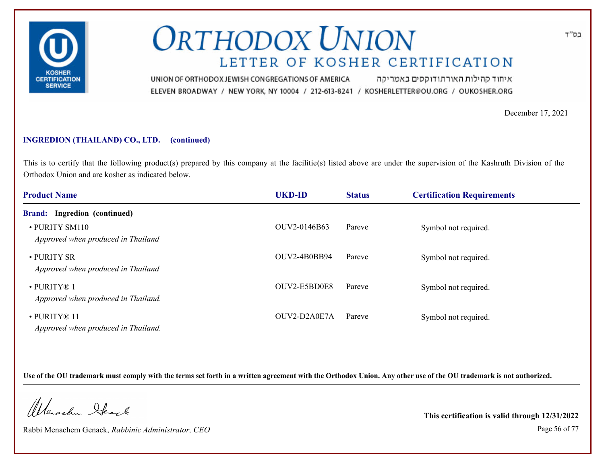

איחוד קהילות האורתודוקסים באמריקה UNION OF ORTHODOX JEWISH CONGREGATIONS OF AMERICA ELEVEN BROADWAY / NEW YORK, NY 10004 / 212-613-8241 / KOSHERLETTER@OU.ORG / OUKOSHER.ORG

December 17, 2021

### **INGREDION (THAILAND) CO., LTD. (continued)**

This is to certify that the following product(s) prepared by this company at the facilitie(s) listed above are under the supervision of the Kashruth Division of the Orthodox Union and are kosher as indicated below.

| <b>Product Name</b>                                      | <b>UKD-ID</b> | <b>Status</b> | <b>Certification Requirements</b> |  |
|----------------------------------------------------------|---------------|---------------|-----------------------------------|--|
| <b>Brand:</b> Ingredion (continued)                      |               |               |                                   |  |
| • PURITY SM110<br>Approved when produced in Thailand     | OUV2-0146B63  | Pareve        | Symbol not required.              |  |
| • PURITY SR<br>Approved when produced in Thailand        | OUV2-4B0BB94  | Pareve        | Symbol not required.              |  |
| $\cdot$ PURITY® 1<br>Approved when produced in Thailand. | OUV2-E5BD0E8  | Pareve        | Symbol not required.              |  |
| · PURITY® 11<br>Approved when produced in Thailand.      | OUV2-D2A0E7A  | Pareve        | Symbol not required.              |  |

**Use of the OU trademark must comply with the terms set forth in a written agreement with the Orthodox Union. Any other use of the OU trademark is not authorized.**

Werschn Stack

Rabbi Menachem Genack, *Rabbinic Administrator, CEO* Page 56 of 77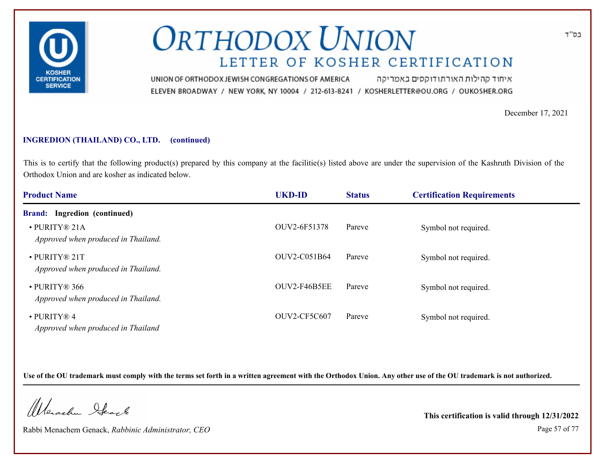

איחוד קהילות האורתודוקסים באמריקה UNION OF ORTHODOX JEWISH CONGREGATIONS OF AMERICA ELEVEN BROADWAY / NEW YORK, NY 10004 / 212-613-8241 / KOSHERLETTER@OU.ORG / OUKOSHER.ORG

December 17, 2021

### **INGREDION (THAILAND) CO., LTD. (continued)**

This is to certify that the following product(s) prepared by this company at the facilitie(s) listed above are under the supervision of the Kashruth Division of the Orthodox Union and are kosher as indicated below.

| <b>Product Name</b>                                     | <b>UKD-ID</b>       | <b>Status</b> | <b>Certification Requirements</b> |  |
|---------------------------------------------------------|---------------------|---------------|-----------------------------------|--|
| <b>Brand:</b> Ingredion (continued)                     |                     |               |                                   |  |
| · PURITY® 21A<br>Approved when produced in Thailand.    | OUV2-6F51378        | Pareve        | Symbol not required.              |  |
| · PURITY® 21T<br>Approved when produced in Thailand.    | OUV2-C051B64        | Pareve        | Symbol not required.              |  |
| • PURITY® 366<br>Approved when produced in Thailand.    | OUV2-F46B5EE        | Pareve        | Symbol not required.              |  |
| $\cdot$ PURITY® 4<br>Approved when produced in Thailand | <b>OUV2-CF5C607</b> | Pareve        | Symbol not required.              |  |

**Use of the OU trademark must comply with the terms set forth in a written agreement with the Orthodox Union. Any other use of the OU trademark is not authorized.**

Werschn Stack

Rabbi Menachem Genack, *Rabbinic Administrator, CEO* Page 57 of 77

**This certification is valid through 12/31/2022**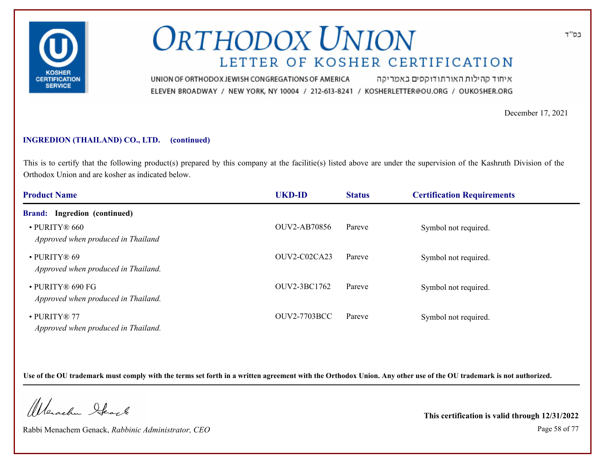

איחוד קהילות האורתודוקסים באמריקה UNION OF ORTHODOX JEWISH CONGREGATIONS OF AMERICA ELEVEN BROADWAY / NEW YORK, NY 10004 / 212-613-8241 / KOSHERLETTER@OU.ORG / OUKOSHER.ORG

December 17, 2021

### **INGREDION (THAILAND) CO., LTD. (continued)**

This is to certify that the following product(s) prepared by this company at the facilitie(s) listed above are under the supervision of the Kashruth Division of the Orthodox Union and are kosher as indicated below.

| <b>Product Name</b>                                           | <b>UKD-ID</b>       | <b>Status</b> | <b>Certification Requirements</b> |  |
|---------------------------------------------------------------|---------------------|---------------|-----------------------------------|--|
| <b>Brand:</b> Ingredion (continued)                           |                     |               |                                   |  |
| • PURITY® 660<br>Approved when produced in Thailand           | <b>OUV2-AB70856</b> | Pareve        | Symbol not required.              |  |
| · PURITY® 69<br>Approved when produced in Thailand.           | OUV2-C02CA23        | Pareve        | Symbol not required.              |  |
| $\cdot$ PURITY® 690 FG<br>Approved when produced in Thailand. | OUV2-3BC1762        | Pareve        | Symbol not required.              |  |
| $\cdot$ PURITY® 77<br>Approved when produced in Thailand.     | <b>OUV2-7703BCC</b> | Pareve        | Symbol not required.              |  |

**Use of the OU trademark must comply with the terms set forth in a written agreement with the Orthodox Union. Any other use of the OU trademark is not authorized.**

Werschn Stack

Rabbi Menachem Genack, *Rabbinic Administrator, CEO* Page 58 of 77

**This certification is valid through 12/31/2022**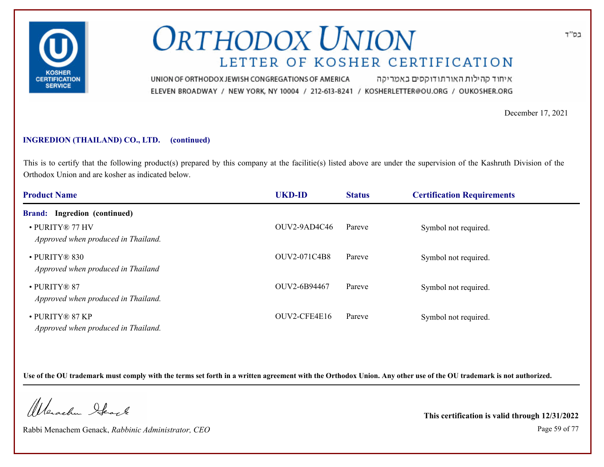

איחוד קהילות האורתודוקסים באמריקה UNION OF ORTHODOX JEWISH CONGREGATIONS OF AMERICA ELEVEN BROADWAY / NEW YORK, NY 10004 / 212-613-8241 / KOSHERLETTER@OU.ORG / OUKOSHER.ORG

December 17, 2021

### **INGREDION (THAILAND) CO., LTD. (continued)**

This is to certify that the following product(s) prepared by this company at the facilitie(s) listed above are under the supervision of the Kashruth Division of the Orthodox Union and are kosher as indicated below.

| <b>Product Name</b>                                       | <b>UKD-ID</b> | <b>Status</b> | <b>Certification Requirements</b> |  |
|-----------------------------------------------------------|---------------|---------------|-----------------------------------|--|
| <b>Brand:</b> Ingredion (continued)                       |               |               |                                   |  |
| • PURITY® 77 HV<br>Approved when produced in Thailand.    | OUV2-9AD4C46  | Pareve        | Symbol not required.              |  |
| · PURITY® 830<br>Approved when produced in Thailand       | OUV2-071C4B8  | Pareve        | Symbol not required.              |  |
| $\cdot$ PURITY® 87<br>Approved when produced in Thailand. | OUV2-6B94467  | Pareve        | Symbol not required.              |  |
| • PURITY® 87 KP<br>Approved when produced in Thailand.    | OUV2-CFE4E16  | Pareve        | Symbol not required.              |  |

**Use of the OU trademark must comply with the terms set forth in a written agreement with the Orthodox Union. Any other use of the OU trademark is not authorized.**

Werschn Stack

Rabbi Menachem Genack, *Rabbinic Administrator, CEO* Page 59 of 77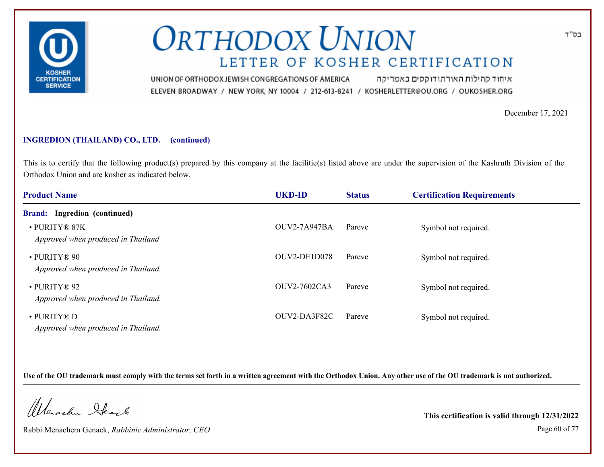

איחוד קהילות האורתודוקסים באמריקה UNION OF ORTHODOX JEWISH CONGREGATIONS OF AMERICA ELEVEN BROADWAY / NEW YORK, NY 10004 / 212-613-8241 / KOSHERLETTER@OU.ORG / OUKOSHER.ORG

December 17, 2021

### **INGREDION (THAILAND) CO., LTD. (continued)**

This is to certify that the following product(s) prepared by this company at the facilitie(s) listed above are under the supervision of the Kashruth Division of the Orthodox Union and are kosher as indicated below.

| <b>Product Name</b>                                 | <b>UKD-ID</b>       | <b>Status</b> | <b>Certification Requirements</b> |  |
|-----------------------------------------------------|---------------------|---------------|-----------------------------------|--|
| <b>Brand:</b> Ingredion (continued)                 |                     |               |                                   |  |
| · PURITY® 87K<br>Approved when produced in Thailand | <b>OUV2-7A947BA</b> | Pareve        | Symbol not required.              |  |
| · PURITY® 90<br>Approved when produced in Thailand. | OUV2-DE1D078        | Pareve        | Symbol not required.              |  |
| · PURITY® 92<br>Approved when produced in Thailand. | OUV2-7602CA3        | Pareve        | Symbol not required.              |  |
| • PURITY® D<br>Approved when produced in Thailand.  | OUV2-DA3F82C        | Pareve        | Symbol not required.              |  |

**Use of the OU trademark must comply with the terms set forth in a written agreement with the Orthodox Union. Any other use of the OU trademark is not authorized.**

Werschn Stack

Rabbi Menachem Genack, *Rabbinic Administrator, CEO* Page 60 of 77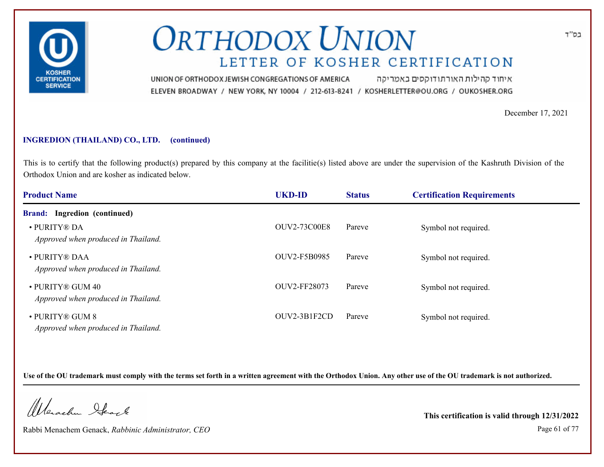

איחוד קהילות האורתודוקסים באמריקה UNION OF ORTHODOX JEWISH CONGREGATIONS OF AMERICA ELEVEN BROADWAY / NEW YORK, NY 10004 / 212-613-8241 / KOSHERLETTER@OU.ORG / OUKOSHER.ORG

December 17, 2021

### **INGREDION (THAILAND) CO., LTD. (continued)**

This is to certify that the following product(s) prepared by this company at the facilitie(s) listed above are under the supervision of the Kashruth Division of the Orthodox Union and are kosher as indicated below.

| <b>Product Name</b>                                     | <b>UKD-ID</b>       | <b>Status</b> | <b>Certification Requirements</b> |  |
|---------------------------------------------------------|---------------------|---------------|-----------------------------------|--|
| <b>Brand:</b> Ingredion (continued)                     |                     |               |                                   |  |
| • PURITY® DA<br>Approved when produced in Thailand.     | <b>OUV2-73C00E8</b> | Pareve        | Symbol not required.              |  |
| • PURITY® DAA<br>Approved when produced in Thailand.    | OUV2-F5B0985        | Pareve        | Symbol not required.              |  |
| • PURITY® GUM 40<br>Approved when produced in Thailand. | OUV2-FF28073        | Pareve        | Symbol not required.              |  |
| • PURITY® GUM 8<br>Approved when produced in Thailand.  | OUV2-3B1F2CD        | Pareve        | Symbol not required.              |  |

**Use of the OU trademark must comply with the terms set forth in a written agreement with the Orthodox Union. Any other use of the OU trademark is not authorized.**

Werschn Stack

Rabbi Menachem Genack, *Rabbinic Administrator, CEO* Page 61 of 77

**This certification is valid through 12/31/2022**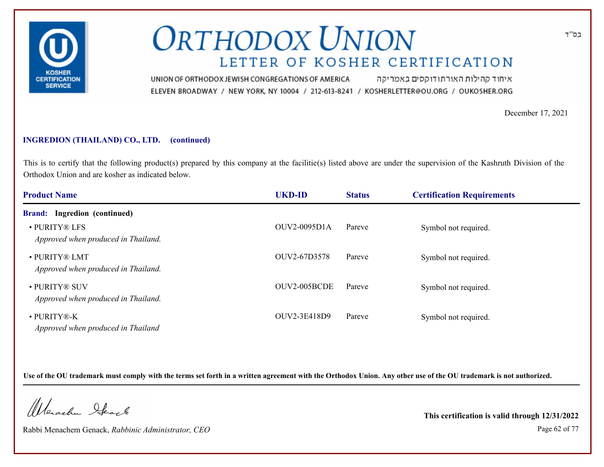

איחוד קהילות האורתודוקסים באמריקה UNION OF ORTHODOX JEWISH CONGREGATIONS OF AMERICA ELEVEN BROADWAY / NEW YORK, NY 10004 / 212-613-8241 / KOSHERLETTER@OU.ORG / OUKOSHER.ORG

December 17, 2021

### **INGREDION (THAILAND) CO., LTD. (continued)**

This is to certify that the following product(s) prepared by this company at the facilitie(s) listed above are under the supervision of the Kashruth Division of the Orthodox Union and are kosher as indicated below.

| <b>Product Name</b>                                  | <b>UKD-ID</b> | <b>Status</b> | <b>Certification Requirements</b> |  |
|------------------------------------------------------|---------------|---------------|-----------------------------------|--|
| <b>Brand:</b> Ingredion (continued)                  |               |               |                                   |  |
| • PURITY® LFS<br>Approved when produced in Thailand. | OUV2-0095D1A  | Pareve        | Symbol not required.              |  |
| · PURITY® LMT<br>Approved when produced in Thailand. | OUV2-67D3578  | Pareve        | Symbol not required.              |  |
| • PURITY® SUV<br>Approved when produced in Thailand. | OUV2-005BCDE  | Pareve        | Symbol not required.              |  |
| • PURITY®-K<br>Approved when produced in Thailand    | OUV2-3E418D9  | Pareve        | Symbol not required.              |  |

**Use of the OU trademark must comply with the terms set forth in a written agreement with the Orthodox Union. Any other use of the OU trademark is not authorized.**

Werschn Stack

Rabbi Menachem Genack, *Rabbinic Administrator, CEO* Page 62 of 77

**This certification is valid through 12/31/2022**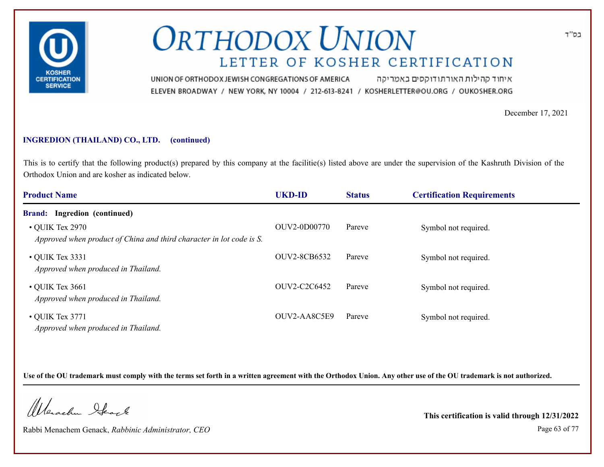

איחוד קהילות האורתודוקסים באמריקה UNION OF ORTHODOX JEWISH CONGREGATIONS OF AMERICA ELEVEN BROADWAY / NEW YORK, NY 10004 / 212-613-8241 / KOSHERLETTER@OU.ORG / OUKOSHER.ORG

December 17, 2021

### **INGREDION (THAILAND) CO., LTD. (continued)**

This is to certify that the following product(s) prepared by this company at the facilitie(s) listed above are under the supervision of the Kashruth Division of the Orthodox Union and are kosher as indicated below.

| <b>Product Name</b>                                                                           | <b>UKD-ID</b> | <b>Status</b> | <b>Certification Requirements</b> |
|-----------------------------------------------------------------------------------------------|---------------|---------------|-----------------------------------|
| <b>Brand:</b> Ingredion (continued)                                                           |               |               |                                   |
| $\cdot$ QUIK Tex 2970<br>Approved when product of China and third character in lot code is S. | OUV2-0D00770  | Pareve        | Symbol not required.              |
| $\cdot$ QUIK Tex 3331<br>Approved when produced in Thailand.                                  | OUV2-8CB6532  | Pareve        | Symbol not required.              |
| $\cdot$ QUIK Tex 3661<br>Approved when produced in Thailand.                                  | OUV2-C2C6452  | Pareve        | Symbol not required.              |
| $\bullet$ QUIK Tex 3771<br>Approved when produced in Thailand.                                | OUV2-AA8C5E9  | Pareve        | Symbol not required.              |

**Use of the OU trademark must comply with the terms set forth in a written agreement with the Orthodox Union. Any other use of the OU trademark is not authorized.**

Werschn Stack

Rabbi Menachem Genack, *Rabbinic Administrator, CEO* Page 63 of 77

**This certification is valid through 12/31/2022**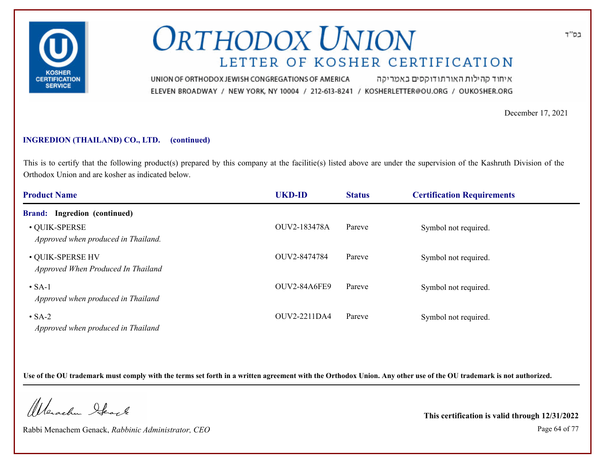

איחוד קהילות האורתודוקסים באמריקה UNION OF ORTHODOX JEWISH CONGREGATIONS OF AMERICA ELEVEN BROADWAY / NEW YORK, NY 10004 / 212-613-8241 / KOSHERLETTER@OU.ORG / OUKOSHER.ORG

December 17, 2021

בס"ד

### **INGREDION (THAILAND) CO., LTD. (continued)**

This is to certify that the following product(s) prepared by this company at the facilitie(s) listed above are under the supervision of the Kashruth Division of the Orthodox Union and are kosher as indicated below.

| <b>Product Name</b>                                    | <b>UKD-ID</b>       | <b>Status</b> | <b>Certification Requirements</b> |  |
|--------------------------------------------------------|---------------------|---------------|-----------------------------------|--|
| <b>Brand:</b> Ingredion (continued)                    |                     |               |                                   |  |
| • QUIK-SPERSE<br>Approved when produced in Thailand.   | OUV2-183478A        | Pareve        | Symbol not required.              |  |
| • QUIK-SPERSE HV<br>Approved When Produced In Thailand | OUV2-8474784        | Pareve        | Symbol not required.              |  |
| $\cdot$ SA-1<br>Approved when produced in Thailand     | <b>OUV2-84A6FE9</b> | Pareve        | Symbol not required.              |  |
| $\cdot$ SA-2<br>Approved when produced in Thailand     | OUV2-2211DA4        | Pareve        | Symbol not required.              |  |

**Use of the OU trademark must comply with the terms set forth in a written agreement with the Orthodox Union. Any other use of the OU trademark is not authorized.**

Werschn Stack

Rabbi Menachem Genack, *Rabbinic Administrator, CEO* Page 64 of 77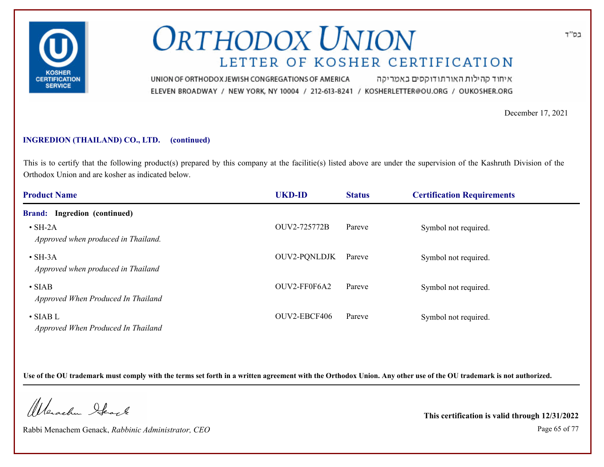

איחוד קהילות האורתודוקסים באמריקה UNION OF ORTHODOX JEWISH CONGREGATIONS OF AMERICA ELEVEN BROADWAY / NEW YORK, NY 10004 / 212-613-8241 / KOSHERLETTER@OU.ORG / OUKOSHER.ORG

December 17, 2021

### **INGREDION (THAILAND) CO., LTD. (continued)**

This is to certify that the following product(s) prepared by this company at the facilitie(s) listed above are under the supervision of the Kashruth Division of the Orthodox Union and are kosher as indicated below.

| <b>Product Name</b>                                    | <b>UKD-ID</b>       | <b>Status</b> | <b>Certification Requirements</b> |  |
|--------------------------------------------------------|---------------------|---------------|-----------------------------------|--|
| <b>Brand:</b> Ingredion (continued)                    |                     |               |                                   |  |
| $\cdot$ SH-2A<br>Approved when produced in Thailand.   | OUV2-725772B        | Pareve        | Symbol not required.              |  |
| $\cdot$ SH-3A<br>Approved when produced in Thailand    | <b>OUV2-PONLDJK</b> | Pareve        | Symbol not required.              |  |
| $\cdot$ SIAB<br>Approved When Produced In Thailand     | OUV2-FF0F6A2        | Pareve        | Symbol not required.              |  |
| $\bullet$ SIAB L<br>Approved When Produced In Thailand | OUV2-EBCF406        | Pareve        | Symbol not required.              |  |

**Use of the OU trademark must comply with the terms set forth in a written agreement with the Orthodox Union. Any other use of the OU trademark is not authorized.**

Werschn Stack

Rabbi Menachem Genack, *Rabbinic Administrator, CEO* Page 65 of 77

**This certification is valid through 12/31/2022**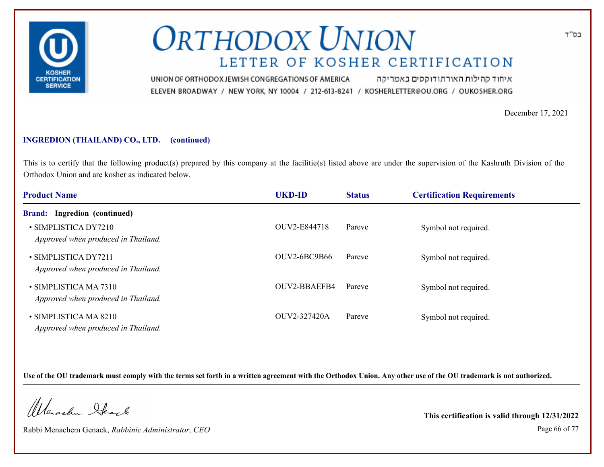

איחוד קהילות האורתודוקסים באמריקה UNION OF ORTHODOX JEWISH CONGREGATIONS OF AMERICA ELEVEN BROADWAY / NEW YORK, NY 10004 / 212-613-8241 / KOSHERLETTER@OU.ORG / OUKOSHER.ORG

December 17, 2021

### **INGREDION (THAILAND) CO., LTD. (continued)**

This is to certify that the following product(s) prepared by this company at the facilitie(s) listed above are under the supervision of the Kashruth Division of the Orthodox Union and are kosher as indicated below.

| <b>Product Name</b>                                          | <b>UKD-ID</b> | <b>Status</b> | <b>Certification Requirements</b> |  |
|--------------------------------------------------------------|---------------|---------------|-----------------------------------|--|
| Ingredion (continued)<br><b>Brand:</b>                       |               |               |                                   |  |
| • SIMPLISTICA DY7210<br>Approved when produced in Thailand.  | OUV2-E844718  | Pareve        | Symbol not required.              |  |
| • SIMPLISTICA DY7211<br>Approved when produced in Thailand.  | OUV2-6BC9B66  | Pareve        | Symbol not required.              |  |
| • SIMPLISTICA MA 7310<br>Approved when produced in Thailand. | OUV2-BBAEFB4  | Pareve        | Symbol not required.              |  |
| • SIMPLISTICA MA 8210<br>Approved when produced in Thailand. | OUV2-327420A  | Pareve        | Symbol not required.              |  |

**Use of the OU trademark must comply with the terms set forth in a written agreement with the Orthodox Union. Any other use of the OU trademark is not authorized.**

Werschn Stack

Rabbi Menachem Genack, *Rabbinic Administrator, CEO* Page 66 of 77

**This certification is valid through 12/31/2022**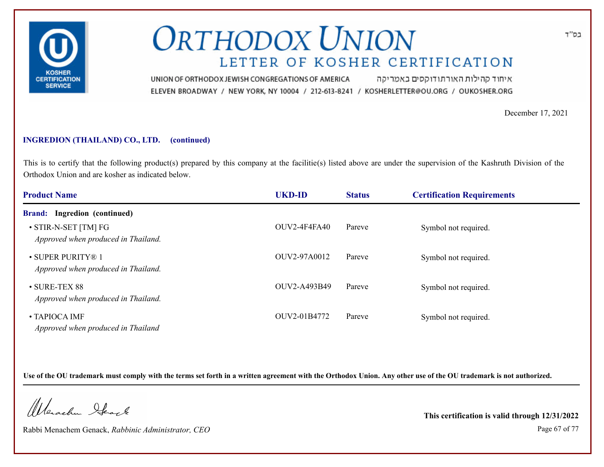

איחוד קהילות האורתודוקסים באמריקה UNION OF ORTHODOX JEWISH CONGREGATIONS OF AMERICA ELEVEN BROADWAY / NEW YORK, NY 10004 / 212-613-8241 / KOSHERLETTER@OU.ORG / OUKOSHER.ORG

December 17, 2021

### **INGREDION (THAILAND) CO., LTD. (continued)**

This is to certify that the following product(s) prepared by this company at the facilitie(s) listed above are under the supervision of the Kashruth Division of the Orthodox Union and are kosher as indicated below.

| <b>Product Name</b>                                         | <b>UKD-ID</b>       | <b>Status</b> | <b>Certification Requirements</b> |  |
|-------------------------------------------------------------|---------------------|---------------|-----------------------------------|--|
| <b>Brand:</b> Ingredion (continued)                         |                     |               |                                   |  |
| • STIR-N-SET [TM] FG<br>Approved when produced in Thailand. | <b>OUV2-4F4FA40</b> | Pareve        | Symbol not required.              |  |
| • SUPER PURITY® 1<br>Approved when produced in Thailand.    | OUV2-97A0012        | Pareve        | Symbol not required.              |  |
| $\cdot$ SURE-TEX 88<br>Approved when produced in Thailand.  | OUV2-A493B49        | Pareve        | Symbol not required.              |  |
| $\bullet$ TAPIOCA IMF<br>Approved when produced in Thailand | OUV2-01B4772        | Pareve        | Symbol not required.              |  |

**Use of the OU trademark must comply with the terms set forth in a written agreement with the Orthodox Union. Any other use of the OU trademark is not authorized.**

Werschn Stack

Rabbi Menachem Genack, *Rabbinic Administrator, CEO* Page 67 of 77

**This certification is valid through 12/31/2022**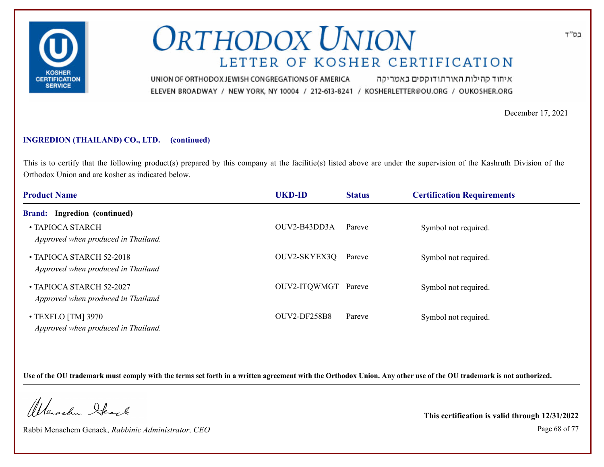

איחוד קהילות האורתודוקסים באמריקה UNION OF ORTHODOX JEWISH CONGREGATIONS OF AMERICA ELEVEN BROADWAY / NEW YORK, NY 10004 / 212-613-8241 / KOSHERLETTER@OU.ORG / OUKOSHER.ORG

December 17, 2021

### **INGREDION (THAILAND) CO., LTD. (continued)**

This is to certify that the following product(s) prepared by this company at the facilitie(s) listed above are under the supervision of the Kashruth Division of the Orthodox Union and are kosher as indicated below.

| <b>Product Name</b>                                             | <b>UKD-ID</b>       | <b>Status</b> | <b>Certification Requirements</b> |  |
|-----------------------------------------------------------------|---------------------|---------------|-----------------------------------|--|
| <b>Brand:</b> Ingredion (continued)                             |                     |               |                                   |  |
| • TAPIOCA STARCH<br>Approved when produced in Thailand.         | OUV2-B43DD3A        | Pareve        | Symbol not required.              |  |
| • TAPIOCA STARCH 52-2018<br>Approved when produced in Thailand  | OUV2-SKYEX3Q        | Pareve        | Symbol not required.              |  |
| • TAPIOCA STARCH 52-2027<br>Approved when produced in Thailand  | OUV2-ITQWMGT Pareve |               | Symbol not required.              |  |
| $\cdot$ TEXFLO [TM] 3970<br>Approved when produced in Thailand. | OUV2-DF258B8        | Pareve        | Symbol not required.              |  |

**Use of the OU trademark must comply with the terms set forth in a written agreement with the Orthodox Union. Any other use of the OU trademark is not authorized.**

Werschn Stack

Rabbi Menachem Genack, *Rabbinic Administrator, CEO* Page 68 of 77

**This certification is valid through 12/31/2022**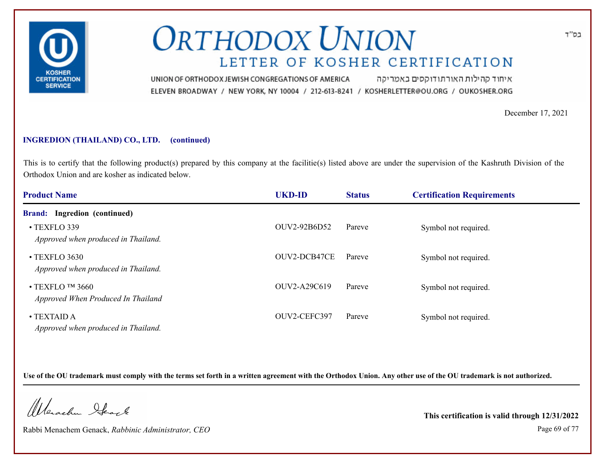

איחוד קהילות האורתודוקסים באמריקה UNION OF ORTHODOX JEWISH CONGREGATIONS OF AMERICA ELEVEN BROADWAY / NEW YORK, NY 10004 / 212-613-8241 / KOSHERLETTER@OU.ORG / OUKOSHER.ORG

December 17, 2021

### **INGREDION (THAILAND) CO., LTD. (continued)**

This is to certify that the following product(s) prepared by this company at the facilitie(s) listed above are under the supervision of the Kashruth Division of the Orthodox Union and are kosher as indicated below.

| <b>Product Name</b>                                          | <b>UKD-ID</b> | <b>Status</b> | <b>Certification Requirements</b> |  |
|--------------------------------------------------------------|---------------|---------------|-----------------------------------|--|
| <b>Brand:</b> Ingredion (continued)                          |               |               |                                   |  |
| • TEXFLO 339<br>Approved when produced in Thailand.          | OUV2-92B6D52  | Pareve        | Symbol not required.              |  |
| • TEXFLO 3630<br>Approved when produced in Thailand.         | OUV2-DCB47CE  | Pareve        | Symbol not required.              |  |
| $\cdot$ TEXFLO TM 3660<br>Approved When Produced In Thailand | OUV2-A29C619  | Pareve        | Symbol not required.              |  |
| $\bullet$ TEXTAID A<br>Approved when produced in Thailand.   | OUV2-CEFC397  | Pareve        | Symbol not required.              |  |

**Use of the OU trademark must comply with the terms set forth in a written agreement with the Orthodox Union. Any other use of the OU trademark is not authorized.**

Werschn Stack

Rabbi Menachem Genack, *Rabbinic Administrator, CEO* Page 69 of 77

**This certification is valid through 12/31/2022**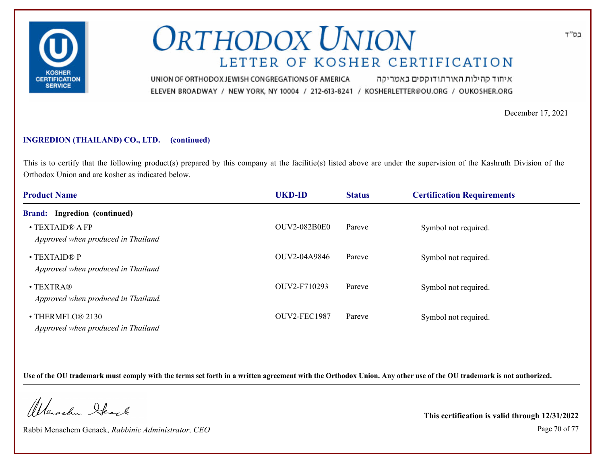

איחוד קהילות האורתודוקסים באמריקה UNION OF ORTHODOX JEWISH CONGREGATIONS OF AMERICA ELEVEN BROADWAY / NEW YORK, NY 10004 / 212-613-8241 / KOSHERLETTER@OU.ORG / OUKOSHER.ORG

December 17, 2021

### **INGREDION (THAILAND) CO., LTD. (continued)**

This is to certify that the following product(s) prepared by this company at the facilitie(s) listed above are under the supervision of the Kashruth Division of the Orthodox Union and are kosher as indicated below.

| <b>Product Name</b>                                      | <b>UKD-ID</b>       | <b>Status</b> | <b>Certification Requirements</b> |  |
|----------------------------------------------------------|---------------------|---------------|-----------------------------------|--|
| <b>Brand:</b> Ingredion (continued)                      |                     |               |                                   |  |
| • TEXTAID® A FP<br>Approved when produced in Thailand    | <b>OUV2-082B0E0</b> | Pareve        | Symbol not required.              |  |
| • TEXTAID® P<br>Approved when produced in Thailand       | OUV2-04A9846        | Pareve        | Symbol not required.              |  |
| $\bullet$ TEXTRA®<br>Approved when produced in Thailand. | OUV2-F710293        | Pareve        | Symbol not required.              |  |
| • THERMFLO® 2130<br>Approved when produced in Thailand   | OUV2-FEC1987        | Pareve        | Symbol not required.              |  |

**Use of the OU trademark must comply with the terms set forth in a written agreement with the Orthodox Union. Any other use of the OU trademark is not authorized.**

Werschn Stack

Rabbi Menachem Genack, *Rabbinic Administrator, CEO* Page 70 of 77

**This certification is valid through 12/31/2022**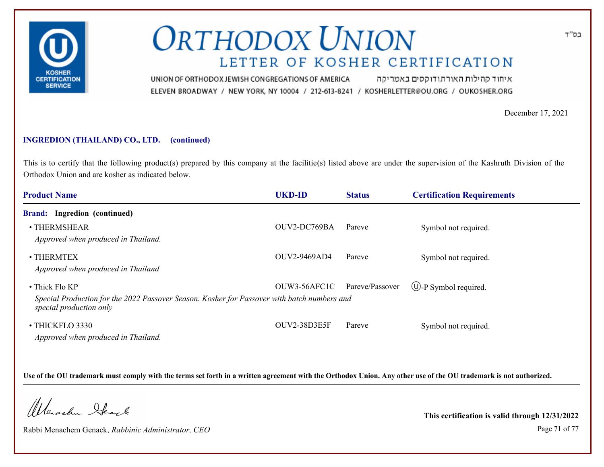

איחוד קהילות האורתודוקסים באמריקה UNION OF ORTHODOX JEWISH CONGREGATIONS OF AMERICA ELEVEN BROADWAY / NEW YORK, NY 10004 / 212-613-8241 / KOSHERLETTER@OU.ORG / OUKOSHER.ORG

December 17, 2021

### **INGREDION (THAILAND) CO., LTD. (continued)**

This is to certify that the following product(s) prepared by this company at the facilitie(s) listed above are under the supervision of the Kashruth Division of the Orthodox Union and are kosher as indicated below.

| <b>Product Name</b>                                                                                                                              | <b>UKD-ID</b> | <b>Status</b>   | <b>Certification Requirements</b> |
|--------------------------------------------------------------------------------------------------------------------------------------------------|---------------|-----------------|-----------------------------------|
| <b>Brand:</b> Ingredion (continued)                                                                                                              |               |                 |                                   |
| • THERMSHEAR<br>Approved when produced in Thailand.                                                                                              | OUV2-DC769BA  | Pareve          | Symbol not required.              |
| $\cdot$ THERMTEX<br>Approved when produced in Thailand                                                                                           | OUV2-9469AD4  | Pareve          | Symbol not required.              |
| $\bullet$ Thick Flo KP<br>Special Production for the 2022 Passover Season. Kosher for Passover with batch numbers and<br>special production only | OUW3-56AFC1C  | Pareve/Passover | $\bigcirc$ -P Symbol required.    |
| • THICKFLO 3330<br>Approved when produced in Thailand.                                                                                           | OUV2-38D3E5F  | Pareve          | Symbol not required.              |

**Use of the OU trademark must comply with the terms set forth in a written agreement with the Orthodox Union. Any other use of the OU trademark is not authorized.**

Werschn Stack

Rabbi Menachem Genack, *Rabbinic Administrator, CEO* Page 71 of 77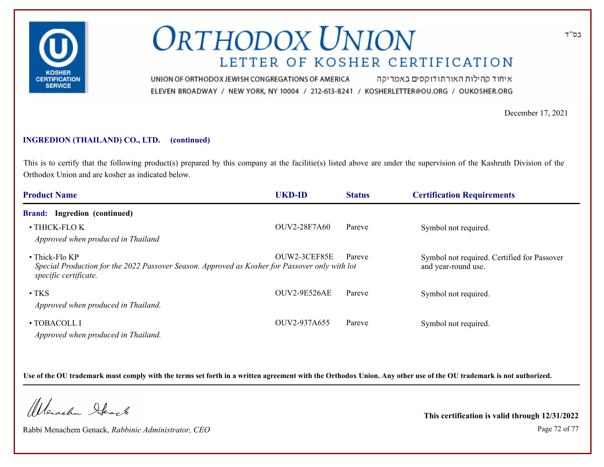

איחוד קהילות האורתודוקסים באמריקה UNION OF ORTHODOX JEWISH CONGREGATIONS OF AMERICA ELEVEN BROADWAY / NEW YORK, NY 10004 / 212-613-8241 / KOSHERLETTER@OU.ORG / OUKOSHER.ORG

December 17, 2021

### **INGREDION (THAILAND) CO., LTD. (continued)**

This is to certify that the following product(s) prepared by this company at the facilitie(s) listed above are under the supervision of the Kashruth Division of the Orthodox Union and are kosher as indicated below.

| <b>Product Name</b>                                                                                                                       | <b>UKD-ID</b>       | <b>Status</b> | <b>Certification Requirements</b>                                  |
|-------------------------------------------------------------------------------------------------------------------------------------------|---------------------|---------------|--------------------------------------------------------------------|
| <b>Brand:</b> Ingredion (continued)                                                                                                       |                     |               |                                                                    |
| • THICK-FLOK<br>Approved when produced in Thailand                                                                                        | <b>OUV2-28F7A60</b> | Pareve        | Symbol not required.                                               |
| • Thick-Flo KP<br>Special Production for the 2022 Passover Season. Approved as Kosher for Passover only with lot<br>specific certificate. | OUW2-3CEF85E        | Pareve        | Symbol not required. Certified for Passover<br>and year-round use. |
| $\cdot$ TKS<br>Approved when produced in Thailand.                                                                                        | <b>OUV2-9E526AE</b> | Pareve        | Symbol not required.                                               |
| $\cdot$ TOBACOLL I<br>Approved when produced in Thailand.                                                                                 | OUV2-937A655        | Pareve        | Symbol not required.                                               |

**Use of the OU trademark must comply with the terms set forth in a written agreement with the Orthodox Union. Any other use of the OU trademark is not authorized.**

Werschn Stack

Rabbi Menachem Genack, *Rabbinic Administrator, CEO* Page 72 of 77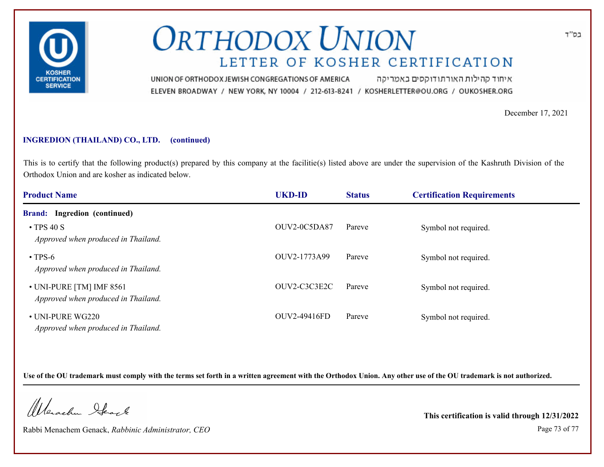

איחוד קהילות האורתודוקסים באמריקה UNION OF ORTHODOX JEWISH CONGREGATIONS OF AMERICA ELEVEN BROADWAY / NEW YORK, NY 10004 / 212-613-8241 / KOSHERLETTER@OU.ORG / OUKOSHER.ORG

December 17, 2021

### **INGREDION (THAILAND) CO., LTD. (continued)**

This is to certify that the following product(s) prepared by this company at the facilitie(s) listed above are under the supervision of the Kashruth Division of the Orthodox Union and are kosher as indicated below.

| <b>Product Name</b>                                             | <b>UKD-ID</b> | <b>Status</b> | <b>Certification Requirements</b> |  |
|-----------------------------------------------------------------|---------------|---------------|-----------------------------------|--|
| <b>Brand:</b> Ingredion (continued)                             |               |               |                                   |  |
| $\cdot$ TPS 40 S<br>Approved when produced in Thailand.         | OUV2-0C5DA87  | Pareve        | Symbol not required.              |  |
| $\cdot$ TPS-6<br>Approved when produced in Thailand.            | OUV2-1773A99  | Pareve        | Symbol not required.              |  |
| • UNI-PURE [TM] IMF 8561<br>Approved when produced in Thailand. | OUV2-C3C3E2C  | Pareve        | Symbol not required.              |  |
| • UNI-PURE WG220<br>Approved when produced in Thailand.         | OUV2-49416FD  | Pareve        | Symbol not required.              |  |

**Use of the OU trademark must comply with the terms set forth in a written agreement with the Orthodox Union. Any other use of the OU trademark is not authorized.**

Werschn Stack

Rabbi Menachem Genack, *Rabbinic Administrator, CEO* Page 73 of 77

**This certification is valid through 12/31/2022**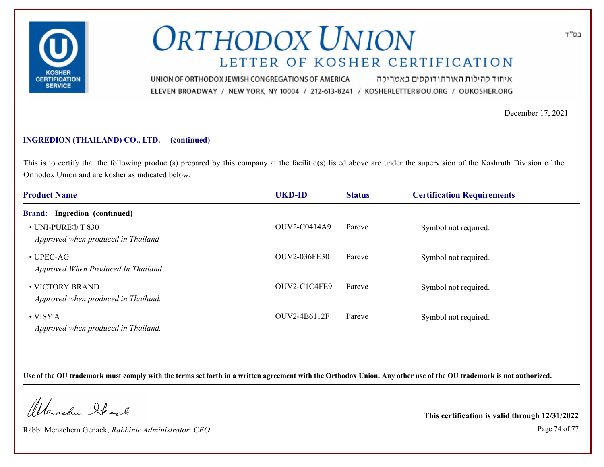

איחוד קהילות האורתודוקסים באמריקה UNION OF ORTHODOX JEWISH CONGREGATIONS OF AMERICA ELEVEN BROADWAY / NEW YORK, NY 10004 / 212-613-8241 / KOSHERLETTER@OU.ORG / OUKOSHER.ORG

December 17, 2021

### **INGREDION (THAILAND) CO., LTD. (continued)**

This is to certify that the following product(s) prepared by this company at the facilitie(s) listed above are under the supervision of the Kashruth Division of the Orthodox Union and are kosher as indicated below.

| <b>Product Name</b>                                     | <b>UKD-ID</b>       | <b>Status</b> | <b>Certification Requirements</b> |  |
|---------------------------------------------------------|---------------------|---------------|-----------------------------------|--|
| <b>Brand:</b> Ingredion (continued)                     |                     |               |                                   |  |
| • UNI-PURE® T 830<br>Approved when produced in Thailand | OUV2-C0414A9        | Pareve        | Symbol not required.              |  |
| $\bullet$ UPEC-AG<br>Approved When Produced In Thailand | <b>OUV2-036FE30</b> | Pareve        | Symbol not required.              |  |
| • VICTORY BRAND<br>Approved when produced in Thailand.  | OUV2-C1C4FE9        | Pareve        | Symbol not required.              |  |
| $\bullet$ VISY A<br>Approved when produced in Thailand. | OUV2-4B6112F        | Pareve        | Symbol not required.              |  |

**Use of the OU trademark must comply with the terms set forth in a written agreement with the Orthodox Union. Any other use of the OU trademark is not authorized.**

Werschn Stack

Rabbi Menachem Genack, *Rabbinic Administrator, CEO* Page 74 of 77

**This certification is valid through 12/31/2022**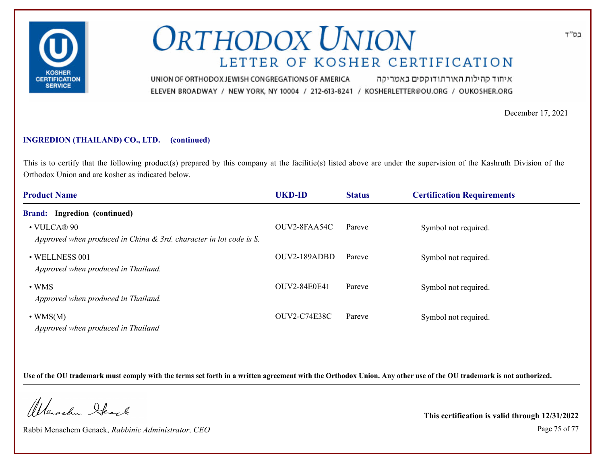

איחוד קהילות האורתודוקסים באמריקה UNION OF ORTHODOX JEWISH CONGREGATIONS OF AMERICA ELEVEN BROADWAY / NEW YORK, NY 10004 / 212-613-8241 / KOSHERLETTER@OU.ORG / OUKOSHER.ORG

December 17, 2021

#### **INGREDION (THAILAND) CO., LTD. (continued)**

This is to certify that the following product(s) prepared by this company at the facilitie(s) listed above are under the supervision of the Kashruth Division of the Orthodox Union and are kosher as indicated below.

| <b>Product Name</b>                                                                        | <b>UKD-ID</b>       | <b>Status</b> | <b>Certification Requirements</b> |  |
|--------------------------------------------------------------------------------------------|---------------------|---------------|-----------------------------------|--|
| <b>Brand:</b> Ingredion (continued)                                                        |                     |               |                                   |  |
| $\cdot$ VULCA® 90<br>Approved when produced in China $\&$ 3rd. character in lot code is S. | OUV2-8FAA54C        | Pareve        | Symbol not required.              |  |
| • WELLNESS 001<br>Approved when produced in Thailand.                                      | OUV2-189ADBD        | Pareve        | Symbol not required.              |  |
| $\cdot$ WMS<br>Approved when produced in Thailand.                                         | <b>OUV2-84E0E41</b> | Pareve        | Symbol not required.              |  |
| $\cdot$ WMS(M)<br>Approved when produced in Thailand                                       | <b>OUV2-C74E38C</b> | Pareve        | Symbol not required.              |  |

**Use of the OU trademark must comply with the terms set forth in a written agreement with the Orthodox Union. Any other use of the OU trademark is not authorized.**

Werschn Stack

Rabbi Menachem Genack, *Rabbinic Administrator, CEO* Page 75 of 77

**This certification is valid through 12/31/2022**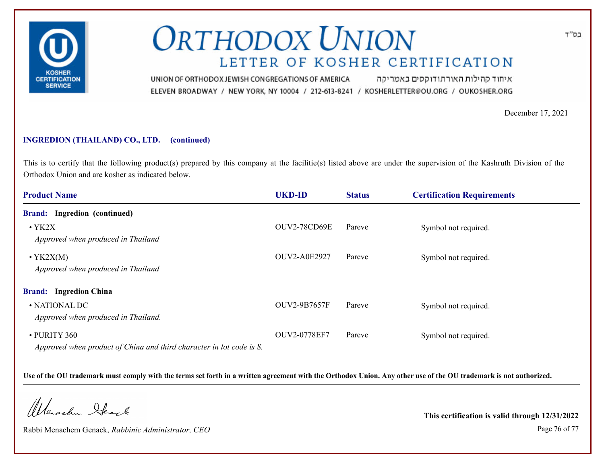

איחוד קהילות האורתודוקסים באמריקה UNION OF ORTHODOX JEWISH CONGREGATIONS OF AMERICA ELEVEN BROADWAY / NEW YORK, NY 10004 / 212-613-8241 / KOSHERLETTER@OU.ORG / OUKOSHER.ORG

December 17, 2021

#### **INGREDION (THAILAND) CO., LTD. (continued)**

This is to certify that the following product(s) prepared by this company at the facilitie(s) listed above are under the supervision of the Kashruth Division of the Orthodox Union and are kosher as indicated below.

| <b>Product Name</b>                                                                  | <b>UKD-ID</b>       | <b>Status</b> | <b>Certification Requirements</b> |
|--------------------------------------------------------------------------------------|---------------------|---------------|-----------------------------------|
| <b>Brand:</b> Ingredion (continued)                                                  |                     |               |                                   |
| $\cdot$ YK2X<br>Approved when produced in Thailand                                   | <b>OUV2-78CD69E</b> | Pareve        | Symbol not required.              |
| $\cdot$ YK2X(M)<br>Approved when produced in Thailand                                | <b>OUV2-A0E2927</b> | Pareve        | Symbol not required.              |
| <b>Brand:</b> Ingredion China                                                        |                     |               |                                   |
| • NATIONAL DC<br>Approved when produced in Thailand.                                 | <b>OUV2-9B7657F</b> | Pareve        | Symbol not required.              |
| • PURITY 360<br>Approved when product of China and third character in lot code is S. | OUV2-0778EF7        | Pareve        | Symbol not required.              |

**Use of the OU trademark must comply with the terms set forth in a written agreement with the Orthodox Union. Any other use of the OU trademark is not authorized.**

Werschn Stack

Rabbi Menachem Genack, *Rabbinic Administrator, CEO* Page 76 of 77

**This certification is valid through 12/31/2022**